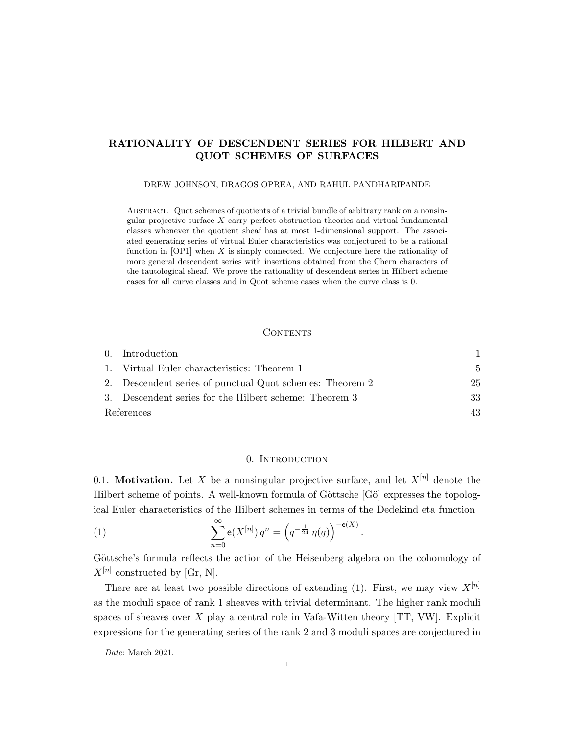# RATIONALITY OF DESCENDENT SERIES FOR HILBERT AND QUOT SCHEMES OF SURFACES

#### DREW JOHNSON, DRAGOS OPREA, AND RAHUL PANDHARIPANDE

Abstract. Quot schemes of quotients of a trivial bundle of arbitrary rank on a nonsingular projective surface  $X$  carry perfect obstruction theories and virtual fundamental classes whenever the quotient sheaf has at most 1-dimensional support. The associated generating series of virtual Euler characteristics was conjectured to be a rational function in  $[OP1]$  when X is simply connected. We conjecture here the rationality of more general descendent series with insertions obtained from the Chern characters of the tautological sheaf. We prove the rationality of descendent series in Hilbert scheme cases for all curve classes and in Quot scheme cases when the curve class is 0.

#### **CONTENTS**

|            | 0. Introduction                                          |              |
|------------|----------------------------------------------------------|--------------|
|            | 1. Virtual Euler characteristics: Theorem 1              | $\mathbf{5}$ |
|            | 2. Descendent series of punctual Quot schemes: Theorem 2 | 25           |
|            | 3. Descendent series for the Hilbert scheme: Theorem 3   | 33           |
| References |                                                          | 43           |

### 0. Introduction

0.1. **Motivation.** Let X be a nonsingular projective surface, and let  $X^{[n]}$  denote the Hilbert scheme of points. A well-known formula of Göttsche [Gö] expresses the topological Euler characteristics of the Hilbert schemes in terms of the Dedekind eta function

(1) 
$$
\sum_{n=0}^{\infty} e(X^{[n]}) q^n = \left( q^{-\frac{1}{24}} \eta(q) \right)^{-e(X)}
$$

Göttsche's formula reflects the action of the Heisenberg algebra on the cohomology of  $X^{[n]}$  constructed by [Gr, N].

.

There are at least two possible directions of extending (1). First, we may view  $X^{[n]}$ as the moduli space of rank 1 sheaves with trivial determinant. The higher rank moduli spaces of sheaves over  $X$  play a central role in Vafa-Witten theory [TT, VW]. Explicit expressions for the generating series of the rank 2 and 3 moduli spaces are conjectured in

Date: March 2021.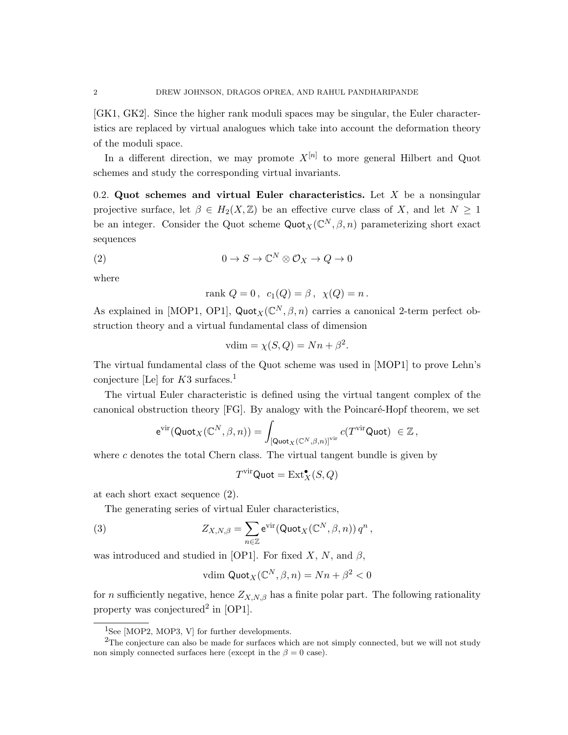[GK1, GK2]. Since the higher rank moduli spaces may be singular, the Euler characteristics are replaced by virtual analogues which take into account the deformation theory of the moduli space.

In a different direction, we may promote  $X^{[n]}$  to more general Hilbert and Quot schemes and study the corresponding virtual invariants.

0.2. Quot schemes and virtual Euler characteristics. Let  $X$  be a nonsingular projective surface, let  $\beta \in H_2(X,\mathbb{Z})$  be an effective curve class of X, and let  $N \geq 1$ be an integer. Consider the Quot scheme  $\text{Quot}_X(\mathbb{C}^N, \beta, n)$  parameterizing short exact sequences

(2) 
$$
0 \to S \to \mathbb{C}^N \otimes \mathcal{O}_X \to Q \to 0
$$

where

rank 
$$
Q = 0
$$
,  $c_1(Q) = \beta$ ,  $\chi(Q) = n$ .

As explained in [MOP1, OP1], Quot<sub>X</sub>( $\mathbb{C}^N$ ,  $\beta$ , n) carries a canonical 2-term perfect obstruction theory and a virtual fundamental class of dimension

$$
vdim = \chi(S, Q) = Nn + \beta^2.
$$

The virtual fundamental class of the Quot scheme was used in [MOP1] to prove Lehn's conjecture [Le] for  $K3$  surfaces.<sup>1</sup>

The virtual Euler characteristic is defined using the virtual tangent complex of the canonical obstruction theory [FG]. By analogy with the Poincaré-Hopf theorem, we set

$$
\mathrm{e}^{\mathrm{vir}}(\mathsf{Quot}_X(\mathbb{C}^N,\beta,n))=\int_{\left[\mathsf{Quot}_X(\mathbb{C}^N,\beta,n)\right]^{\mathrm{vir}}}c(T^{\mathrm{vir}}\mathsf{Quot})\;\in\mathbb{Z}\,,
$$

where  $c$  denotes the total Chern class. The virtual tangent bundle is given by

$$
T^{\mathrm{vir}} \mathrm{Quot} = \mathrm{Ext}^\bullet_X(S,Q)
$$

at each short exact sequence (2).

The generating series of virtual Euler characteristics,

(3) 
$$
Z_{X,N,\beta} = \sum_{n \in \mathbb{Z}} e^{\text{vir}} (\text{Quot}_X(\mathbb{C}^N, \beta, n)) q^n,
$$

was introduced and studied in [OP1]. For fixed X, N, and  $\beta$ ,

$$
vdim Quot_X(\mathbb{C}^N, \beta, n) = Nn + \beta^2 < 0
$$

for *n* sufficiently negative, hence  $Z_{X,N,\beta}$  has a finite polar part. The following rationality property was conjectured<sup>2</sup> in  $[OP1]$ .

<sup>&</sup>lt;sup>1</sup>See [MOP2, MOP3, V] for further developments.

<sup>&</sup>lt;sup>2</sup>The conjecture can also be made for surfaces which are not simply connected, but we will not study non simply connected surfaces here (except in the  $\beta = 0$  case).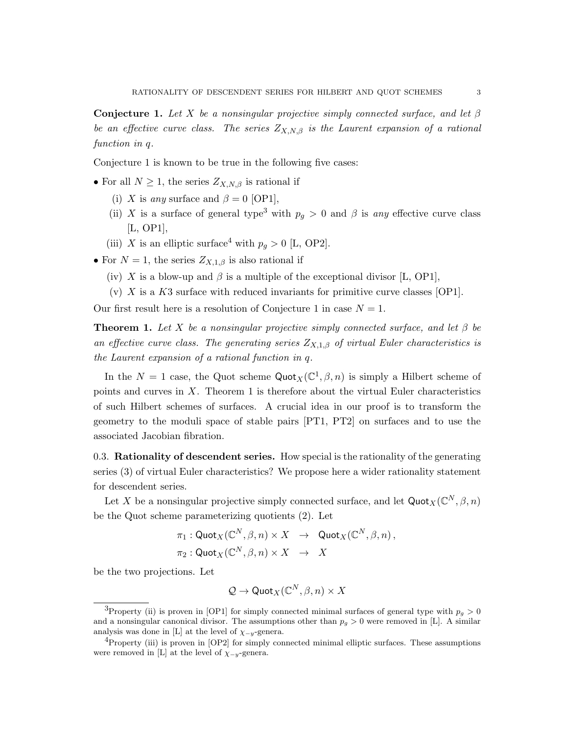Conjecture 1. Let X be a nonsingular projective simply connected surface, and let  $\beta$ be an effective curve class. The series  $Z_{X,N,\beta}$  is the Laurent expansion of a rational function in q.

Conjecture 1 is known to be true in the following five cases:

- For all  $N \geq 1$ , the series  $Z_{X,N,\beta}$  is rational if
	- (i) X is any surface and  $\beta = 0$  [OP1],
	- (ii) X is a surface of general type<sup>3</sup> with  $p_q > 0$  and  $\beta$  is any effective curve class [L, OP1],
	- (iii) X is an elliptic surface<sup>4</sup> with  $p_q > 0$  [L, OP2].
- For  $N = 1$ , the series  $Z_{X,1,\beta}$  is also rational if
	- (iv) X is a blow-up and  $\beta$  is a multiple of the exceptional divisor [L, OP1],
	- (v)  $X$  is a K3 surface with reduced invariants for primitive curve classes [OP1].

Our first result here is a resolution of Conjecture 1 in case  $N = 1$ .

**Theorem 1.** Let X be a nonsingular projective simply connected surface, and let  $\beta$  be an effective curve class. The generating series  $Z_{X,1,\beta}$  of virtual Euler characteristics is the Laurent expansion of a rational function in q.

In the  $N = 1$  case, the Quot scheme  $\text{Quot}_X(\mathbb{C}^1, \beta, n)$  is simply a Hilbert scheme of points and curves in  $X$ . Theorem 1 is therefore about the virtual Euler characteristics of such Hilbert schemes of surfaces. A crucial idea in our proof is to transform the geometry to the moduli space of stable pairs [PT1, PT2] on surfaces and to use the associated Jacobian fibration.

0.3. Rationality of descendent series. How special is the rationality of the generating series (3) of virtual Euler characteristics? We propose here a wider rationality statement for descendent series.

Let X be a nonsingular projective simply connected surface, and let  $\text{Quot}_X(\mathbb{C}^N, \beta, n)$ be the Quot scheme parameterizing quotients (2). Let

$$
\begin{aligned}\n\pi_1: \text{Quot}_X(\mathbb{C}^N, \beta, n) \times X &\to \text{ Quot}_X(\mathbb{C}^N, \beta, n), \\
\pi_2: \text{Quot}_X(\mathbb{C}^N, \beta, n) \times X &\to X\n\end{aligned}
$$

be the two projections. Let

$$
\mathcal{Q} \to \mathsf{Quot}_X(\mathbb{C}^N, \beta, n) \times X
$$

<sup>&</sup>lt;sup>3</sup>Property (ii) is proven in [OP1] for simply connected minimal surfaces of general type with  $p_g > 0$ and a nonsingular canonical divisor. The assumptions other than  $p_g > 0$  were removed in [L]. A similar analysis was done in [L] at the level of  $\chi_{-y}$ -genera.

 ${}^{4}$ Property (iii) is proven in [OP2] for simply connected minimal elliptic surfaces. These assumptions were removed in [L] at the level of  $\chi_{-y}$ -genera.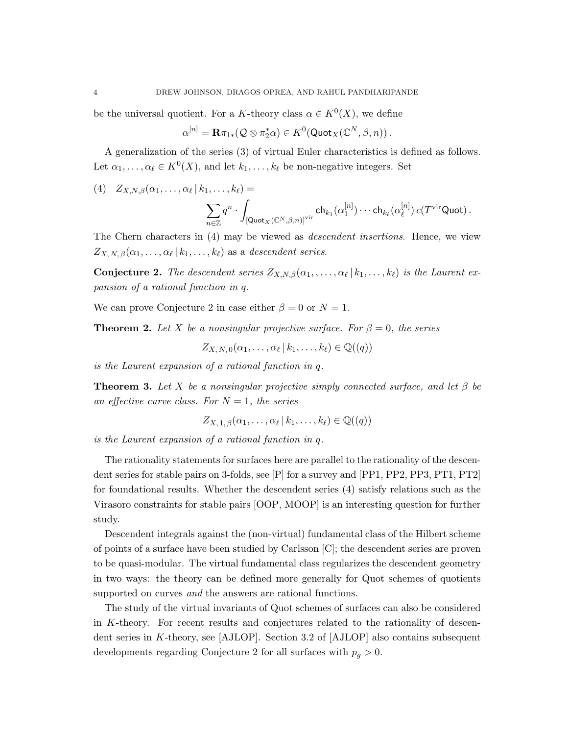be the universal quotient. For a K-theory class  $\alpha \in K^0(X)$ , we define

$$
\alpha^{[n]} = \mathbf{R} \pi_{1*}(\mathcal{Q} \otimes \pi_2^* \alpha) \in K^0(\mathsf{Quot}_X(\mathbb{C}^N, \beta, n))\,.
$$

A generalization of the series (3) of virtual Euler characteristics is defined as follows. Let  $\alpha_1, \ldots, \alpha_\ell \in K^0(X)$ , and let  $k_1, \ldots, k_\ell$  be non-negative integers. Set

$$
(4) \quad Z_{X,N,\beta}(\alpha_1,\ldots,\alpha_\ell\,|\,k_1,\ldots,k_\ell) =
$$

$$
\sum_{n\in\mathbb{Z}}q^n\cdot\int_{\left[\mathsf {Quot}_X(\mathbb{C}^N,\beta,n)\right]^{\text{vir}}} \mathsf {ch}_{k_1}(\alpha_1^{[n]})\cdots \mathsf{ch}_{k_\ell}(\alpha_\ell^{[n]})\,c(T^{\text{vir}}\mathsf {Quot})\,.
$$

The Chern characters in (4) may be viewed as descendent insertions. Hence, we view  $Z_{X, N, \beta}(\alpha_1, \ldots, \alpha_\ell | k_1, \ldots, k_\ell)$  as a descendent series.

**Conjecture 2.** The descendent series  $Z_{X,N,\beta}(\alpha_1, \ldots, \alpha_\ell | k_1, \ldots, k_\ell)$  is the Laurent expansion of a rational function in q.

We can prove Conjecture 2 in case either  $\beta = 0$  or  $N = 1$ .

**Theorem 2.** Let X be a nonsingular projective surface. For  $\beta = 0$ , the series

$$
Z_{X, N, 0}(\alpha_1, \ldots, \alpha_\ell \,|\, k_1, \ldots, k_\ell) \in \mathbb{Q}((q))
$$

is the Laurent expansion of a rational function in q.

**Theorem 3.** Let X be a nonsingular projective simply connected surface, and let  $\beta$  be an effective curve class. For  $N = 1$ , the series

$$
Z_{X,1,\beta}(\alpha_1,\ldots,\alpha_\ell\,|\,k_1,\ldots,k_\ell)\in\mathbb{Q}((q))
$$

is the Laurent expansion of a rational function in q.

The rationality statements for surfaces here are parallel to the rationality of the descendent series for stable pairs on 3-folds, see [P] for a survey and [PP1, PP2, PP3, PT1, PT2] for foundational results. Whether the descendent series (4) satisfy relations such as the Virasoro constraints for stable pairs [OOP, MOOP] is an interesting question for further study.

Descendent integrals against the (non-virtual) fundamental class of the Hilbert scheme of points of a surface have been studied by Carlsson [C]; the descendent series are proven to be quasi-modular. The virtual fundamental class regularizes the descendent geometry in two ways: the theory can be defined more generally for Quot schemes of quotients supported on curves *and* the answers are rational functions.

The study of the virtual invariants of Quot schemes of surfaces can also be considered in K-theory. For recent results and conjectures related to the rationality of descendent series in K-theory, see [AJLOP]. Section 3.2 of [AJLOP] also contains subsequent developments regarding Conjecture 2 for all surfaces with  $p_q > 0$ .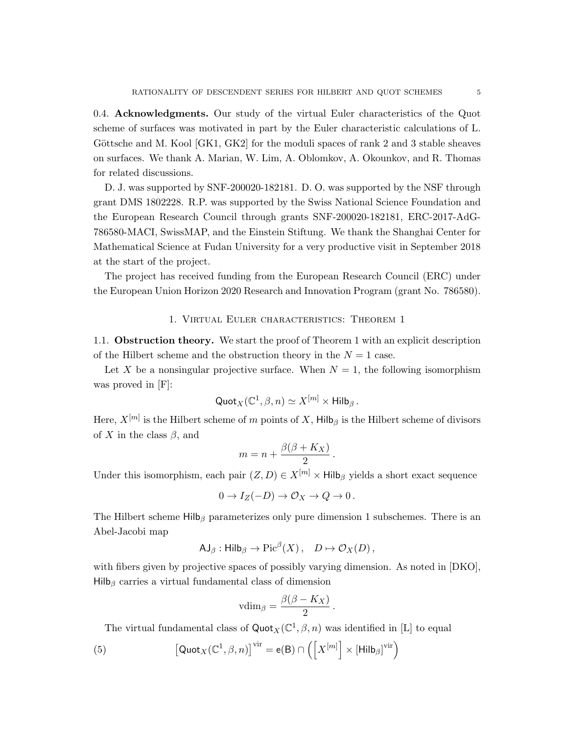0.4. Acknowledgments. Our study of the virtual Euler characteristics of the Quot scheme of surfaces was motivated in part by the Euler characteristic calculations of L. Göttsche and M. Kool  $|GK1, GK2|$  for the moduli spaces of rank 2 and 3 stable sheaves on surfaces. We thank A. Marian, W. Lim, A. Oblomkov, A. Okounkov, and R. Thomas for related discussions.

D. J. was supported by SNF-200020-182181. D. O. was supported by the NSF through grant DMS 1802228. R.P. was supported by the Swiss National Science Foundation and the European Research Council through grants SNF-200020-182181, ERC-2017-AdG-786580-MACI, SwissMAP, and the Einstein Stiftung. We thank the Shanghai Center for Mathematical Science at Fudan University for a very productive visit in September 2018 at the start of the project.

The project has received funding from the European Research Council (ERC) under the European Union Horizon 2020 Research and Innovation Program (grant No. 786580).

#### 1. Virtual Euler characteristics: Theorem 1

1.1. Obstruction theory. We start the proof of Theorem 1 with an explicit description of the Hilbert scheme and the obstruction theory in the  $N = 1$  case.

Let X be a nonsingular projective surface. When  $N = 1$ , the following isomorphism was proved in [F]:

$$
\mathsf{Quot}_X(\mathbb{C}^1, \beta, n) \simeq X^{[m]} \times \mathsf{Hilb}_{\beta}.
$$

Here,  $X^{[m]}$  is the Hilbert scheme of m points of X, Hilb<sub> $\beta$ </sub> is the Hilbert scheme of divisors of X in the class  $\beta$ , and

$$
m = n + \frac{\beta(\beta + K_X)}{2}.
$$

Under this isomorphism, each pair  $(Z, D) \in X^{[m]} \times Hilb<sub>\beta</sub>$  yields a short exact sequence

$$
0 \to I_Z(-D) \to \mathcal{O}_X \to Q \to 0 \, .
$$

The Hilbert scheme Hilb<sub>β</sub> parameterizes only pure dimension 1 subschemes. There is an Abel-Jacobi map

$$
\mathsf{AJ}_{\beta} : \mathsf{Hilb}_{\beta} \to \mathrm{Pic}^{\beta}(X) \,, \quad D \mapsto \mathcal{O}_X(D) \,,
$$

with fibers given by projective spaces of possibly varying dimension. As noted in [DKO],  $Hilb<sub>β</sub>$  carries a virtual fundamental class of dimension

$$
v\dim_{\beta}=\frac{\beta(\beta-K_X)}{2}.
$$

The virtual fundamental class of  $\text{Quot}_X(\mathbb{C}^1, \beta, n)$  was identified in [L] to equal

(5) 
$$
\left[\mathsf{Quot}_X(\mathbb{C}^1,\beta,n)\right]^{\text{vir}} = \mathsf{e}(\mathsf{B}) \cap \left(\left[X^{[m]}\right] \times \left[\mathsf{Hilb}_\beta\right]^{\text{vir}}\right)
$$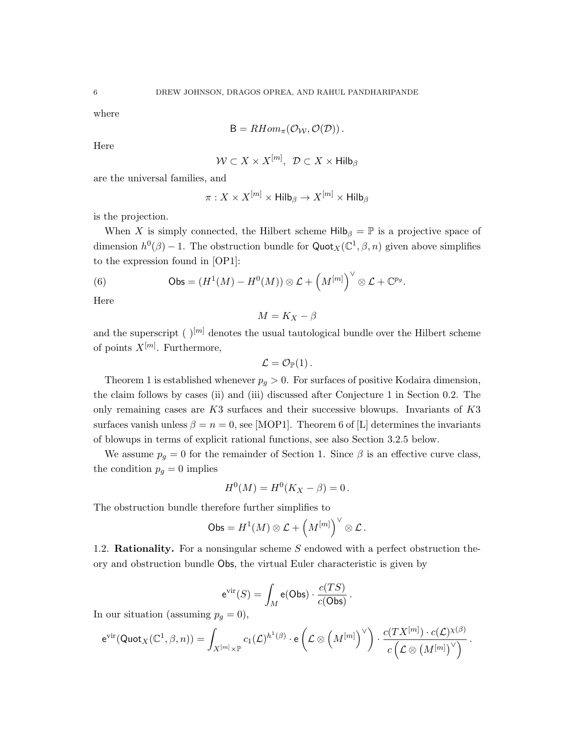where

$$
B = RHom_{\pi}(\mathcal{O}_{\mathcal{W}}, \mathcal{O}(\mathcal{D})).
$$

Here

$$
\mathcal{W} \subset X \times X^{[m]}, \ \mathcal{D} \subset X \times \mathsf{Hilb}_{\beta}
$$

are the universal families, and

$$
\pi: X \times X^{[m]} \times \mathsf{Hilb}_{\beta} \to X^{[m]} \times \mathsf{Hilb}_{\beta}
$$

is the projection.

When X is simply connected, the Hilbert scheme  $Hilb<sub>\beta</sub> = \mathbb{P}$  is a projective space of dimension  $h^0(\beta) - 1$ . The obstruction bundle for  $\text{Quot}_X(\mathbb{C}^1, \beta, n)$  given above simplifies to the expression found in [OP1]:

(6) 
$$
\mathsf{Obs} = (H^1(M) - H^0(M)) \otimes \mathcal{L} + \left(M^{[m]}\right)^{\vee} \otimes \mathcal{L} + \mathbb{C}^{p_g}.
$$

Here

$$
M=K_X-\beta
$$

and the superscript ( $|m|$  denotes the usual tautological bundle over the Hilbert scheme of points  $X^{[m]}$ . Furthermore,

$$
\mathcal{L}=\mathcal{O}_{\mathbb{P}}(1)\,.
$$

Theorem 1 is established whenever  $p_g > 0$ . For surfaces of positive Kodaira dimension, the claim follows by cases (ii) and (iii) discussed after Conjecture 1 in Section 0.2. The only remaining cases are  $K3$  surfaces and their successive blowups. Invariants of  $K3$ surfaces vanish unless  $\beta = n = 0$ , see [MOP1]. Theorem 6 of [L] determines the invariants of blowups in terms of explicit rational functions, see also Section 3.2.5 below.

We assume  $p_g = 0$  for the remainder of Section 1. Since  $\beta$  is an effective curve class, the condition  $p_g = 0$  implies

$$
H^{0}(M) = H^{0}(K_{X} - \beta) = 0.
$$

The obstruction bundle therefore further simplifies to

$$
\mathsf{Obs} = H^1(M) \otimes \mathcal{L} + \left(M^{[m]}\right)^\vee \otimes \mathcal{L}.
$$

1.2. **Rationality.** For a nonsingular scheme S endowed with a perfect obstruction theory and obstruction bundle Obs, the virtual Euler characteristic is given by

$$
e^{\text{vir}}(S) = \int_M e(\text{Obs}) \cdot \frac{c(TS)}{c(\text{Obs})}.
$$

In our situation (assuming  $p_g = 0$ ),

$$
e^{\text{vir}}(\text{Quot}_X(\mathbb{C}^1,\beta,n)) = \int_{X^{[m]} \times \mathbb{P}} c_1(\mathcal{L})^{h^1(\beta)} \cdot e\left(\mathcal{L} \otimes \left(M^{[m]}\right)^{\vee}\right) \cdot \frac{c(TX^{[m]}) \cdot c(\mathcal{L})^{\chi(\beta)}}{c\left(\mathcal{L} \otimes \left(M^{[m]}\right)^{\vee}\right)}.
$$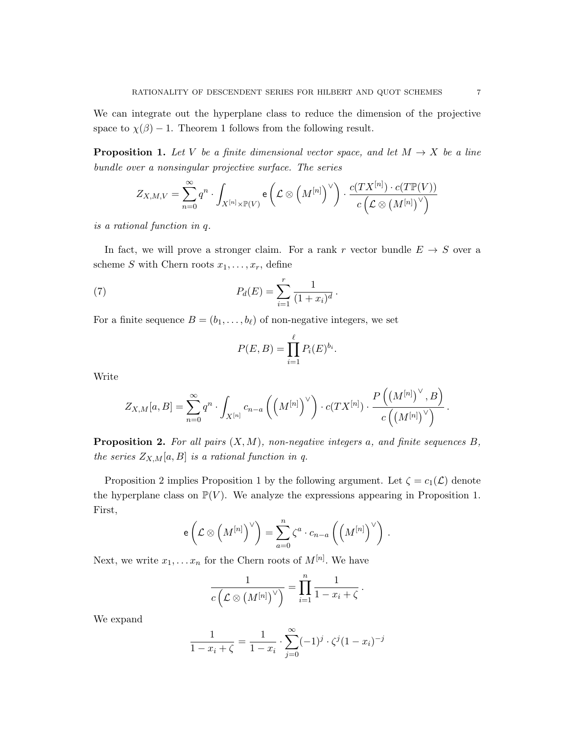We can integrate out the hyperplane class to reduce the dimension of the projective space to  $\chi(\beta) - 1$ . Theorem 1 follows from the following result.

**Proposition 1.** Let V be a finite dimensional vector space, and let  $M \rightarrow X$  be a line bundle over a nonsingular projective surface. The series

$$
Z_{X,M,V} = \sum_{n=0}^{\infty} q^n \cdot \int_{X^{[n]} \times \mathbb{P}(V)} e\left(\mathcal{L} \otimes \left(M^{[n]}\right)^{\vee}\right) \cdot \frac{c(TX^{[n]}) \cdot c(T\mathbb{P}(V))}{c\left(\mathcal{L} \otimes \left(M^{[n]}\right)^{\vee}\right)}
$$

is a rational function in q.

In fact, we will prove a stronger claim. For a rank r vector bundle  $E \to S$  over a scheme S with Chern roots  $x_1, \ldots, x_r$ , define

(7) 
$$
P_d(E) = \sum_{i=1}^r \frac{1}{(1+x_i)^d}.
$$

For a finite sequence  $B = (b_1, \ldots, b_\ell)$  of non-negative integers, we set

$$
P(E,B) = \prod_{i=1}^{\ell} P_i(E)^{b_i}.
$$

Write

$$
Z_{X,M}[a,B]=\sum_{n=0}^\infty q^n\cdot \int_{X^{[n]}} c_{n-a}\left(\left(M^{[n]}\right)^{\vee}\right)\cdot c(TX^{[n]})\cdot \frac{P\left(\left(M^{[n]}\right)^{\vee},B\right)}{c\left(\left(M^{[n]}\right)^{\vee}\right)}\,.
$$

**Proposition 2.** For all pairs  $(X, M)$ , non-negative integers a, and finite sequences B, the series  $Z_{X,M}[a, B]$  is a rational function in q.

Proposition 2 implies Proposition 1 by the following argument. Let  $\zeta = c_1(\mathcal{L})$  denote the hyperplane class on  $\mathbb{P}(V)$ . We analyze the expressions appearing in Proposition 1. First,

$$
\mathsf{e}\left(\mathcal{L}\otimes\left(M^{[n]}\right)^{\vee}\right)=\sum_{a=0}^{n}\zeta^a\cdot c_{n-a}\left(\left(M^{[n]}\right)^{\vee}\right)\,.
$$

Next, we write  $x_1, \ldots x_n$  for the Chern roots of  $M^{[n]}$ . We have

$$
\frac{1}{c\left(\mathcal{L}\otimes\left(M^{[n]}\right)^{\vee}\right)}=\prod_{i=1}^{n}\frac{1}{1-x_{i}+\zeta}.
$$

We expand

$$
\frac{1}{1 - x_i + \zeta} = \frac{1}{1 - x_i} \cdot \sum_{j=0}^{\infty} (-1)^j \cdot \zeta^j (1 - x_i)^{-j}
$$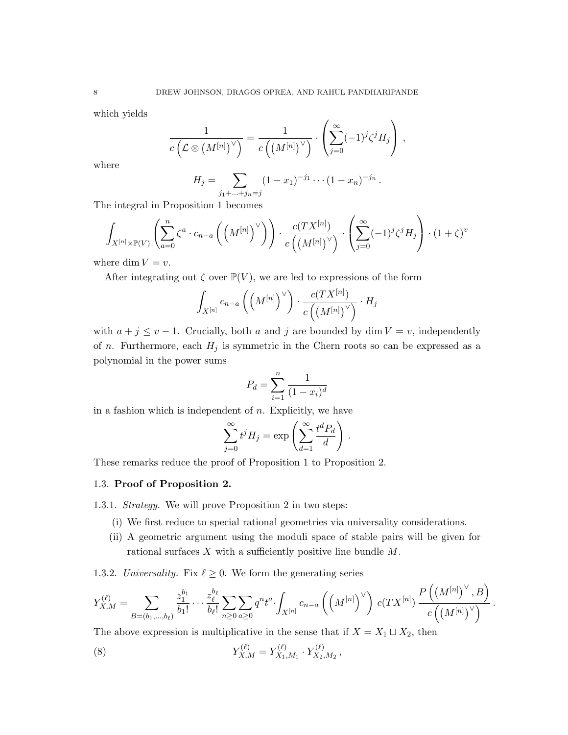which yields

$$
\frac{1}{c\left(\mathcal{L}\otimes(M^{[n]})^{\vee}\right)}=\frac{1}{c\left((M^{[n]})^{\vee}\right)}\cdot\left(\sum_{j=0}^{\infty}(-1)^{j}\zeta^{j}H_{j}\right),\,
$$

where

$$
H_j = \sum_{j_1 + \ldots + j_n = j} (1 - x_1)^{-j_1} \cdots (1 - x_n)^{-j_n}.
$$

The integral in Proposition 1 becomes

$$
\int_{X^{[n]} \times \mathbb{P}(V)} \left( \sum_{a=0}^{n} \zeta^a \cdot c_{n-a} \left( \left( M^{[n]} \right)^{\vee} \right) \right) \cdot \frac{c(TX^{[n]})}{c \left( \left( M^{[n]} \right)^{\vee} \right)} \cdot \left( \sum_{j=0}^{\infty} (-1)^j \zeta^j H_j \right) \cdot (1+\zeta)^{v}
$$

where dim  $V = v$ .

After integrating out  $\zeta$  over  $\mathbb{P}(V)$ , we are led to expressions of the form

$$
\int_{X^{[n]}} c_{n-a}\left(\left(M^{[n]}\right)^{\vee}\right) \cdot \frac{c(TX^{[n]})}{c\left(\left(M^{[n]}\right)^{\vee}\right)} \cdot H_j
$$

with  $a + j \le v - 1$ . Crucially, both a and j are bounded by dim  $V = v$ , independently of *n*. Furthermore, each  $H_j$  is symmetric in the Chern roots so can be expressed as a polynomial in the power sums

$$
P_d = \sum_{i=1}^{n} \frac{1}{(1 - x_i)^d}
$$

in a fashion which is independent of  $n$ . Explicitly, we have

$$
\sum_{j=0}^{\infty} t^j H_j = \exp\left(\sum_{d=1}^{\infty} \frac{t^d P_d}{d}\right).
$$

These remarks reduce the proof of Proposition 1 to Proposition 2.

### 1.3. Proof of Proposition 2.

1.3.1. Strategy. We will prove Proposition 2 in two steps:

- (i) We first reduce to special rational geometries via universality considerations.
- (ii) A geometric argument using the moduli space of stable pairs will be given for rational surfaces  $X$  with a sufficiently positive line bundle  $M$ .

1.3.2. Universality. Fix  $\ell \geq 0$ . We form the generating series

$$
Y_{X,M}^{(\ell)} = \sum_{B=(b_1,\ldots,b_\ell)} \frac{z_1^{b_1}}{b_1!} \cdots \frac{z_\ell^{b_\ell}}{b_\ell!} \sum_{n\geq 0} \sum_{a\geq 0} q^n t^a \cdot \int_{X^{[n]}} c_{n-a} \left(\left(M^{[n]}\right)^{\vee}\right) \, c(TX^{[n]}) \, \frac{P\left(\left(M^{[n]}\right)^{\vee},B\right)}{c\left(\left(M^{[n]}\right)^{\vee}\right)} \, .
$$

The above expression is multiplicative in the sense that if  $X = X_1 \sqcup X_2$ , then

(8) 
$$
Y_{X,M}^{(\ell)} = Y_{X_1,M_1}^{(\ell)} \cdot Y_{X_2,M_2}^{(\ell)},
$$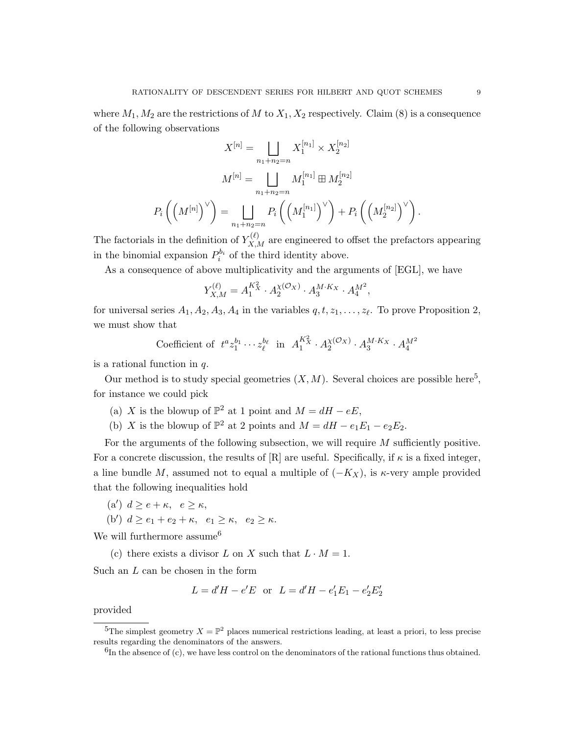where  $M_1, M_2$  are the restrictions of M to  $X_1, X_2$  respectively. Claim (8) is a consequence of the following observations

$$
X^{[n]} = \bigsqcup_{n_1 + n_2 = n} X_1^{[n_1]} \times X_2^{[n_2]}
$$

$$
M^{[n]} = \bigsqcup_{n_1 + n_2 = n} M_1^{[n_1]} \boxplus M_2^{[n_2]}
$$

$$
P_i\left(\left(M^{[n]}\right)^{\vee}\right) = \bigsqcup_{n_1 + n_2 = n} P_i\left(\left(M_1^{[n_1]}\right)^{\vee}\right) + P_i\left(\left(M_2^{[n_2]}\right)^{\vee}\right)
$$

The factorials in the definition of  $Y_{X,M}^{(\ell)}$  are engineered to offset the prefactors appearing in the binomial expansion  $P_i^{b_i}$  of the third identity above.

As a consequence of above multiplicativity and the arguments of [EGL], we have

$$
Y_{X,M}^{(\ell)} = A_1^{K_X^2} \cdot A_2^{\chi(\mathcal{O}_X)} \cdot A_3^{M \cdot K_X} \cdot A_4^{M^2},
$$

for universal series  $A_1, A_2, A_3, A_4$  in the variables  $q, t, z_1, \ldots, z_\ell$ . To prove Proposition 2, we must show that

Coefficient of 
$$
t^a z_1^{b_1} \cdots z_\ell^{b_\ell}
$$
 in  $A_1^{K_X^2} \cdot A_2^{\chi(\mathcal{O}_X)} \cdot A_3^{M \cdot K_X} \cdot A_4^{M^2}$ 

is a rational function in q.

Our method is to study special geometries  $(X, M)$ . Several choices are possible here<sup>5</sup>, for instance we could pick

- (a) X is the blowup of  $\mathbb{P}^2$  at 1 point and  $M = dH eE$ ,
- (b) X is the blowup of  $\mathbb{P}^2$  at 2 points and  $M = dH e_1E_1 e_2E_2$ .

For the arguments of the following subsection, we will require  $M$  sufficiently positive. For a concrete discussion, the results of  $[R]$  are useful. Specifically, if  $\kappa$  is a fixed integer, a line bundle M, assumed not to equal a multiple of  $(-K_X)$ , is  $\kappa$ -very ample provided that the following inequalities hold

- (a')  $d \ge e + \kappa$ ,  $e \ge \kappa$ ,
- (b')  $d \ge e_1 + e_2 + \kappa$ ,  $e_1 \ge \kappa$ ,  $e_2 \ge \kappa$ .

We will furthermore assume  $\rm^6$ 

(c) there exists a divisor L on X such that  $L \cdot M = 1$ .

Such an L can be chosen in the form

$$
L = d'H - e'E
$$
 or  $L = d'H - e'_1E_1 - e'_2E'_2$ 

provided

.

<sup>&</sup>lt;sup>5</sup>The simplest geometry  $X = \mathbb{P}^2$  places numerical restrictions leading, at least a priori, to less precise results regarding the denominators of the answers.

 ${}^{6}$ In the absence of (c), we have less control on the denominators of the rational functions thus obtained.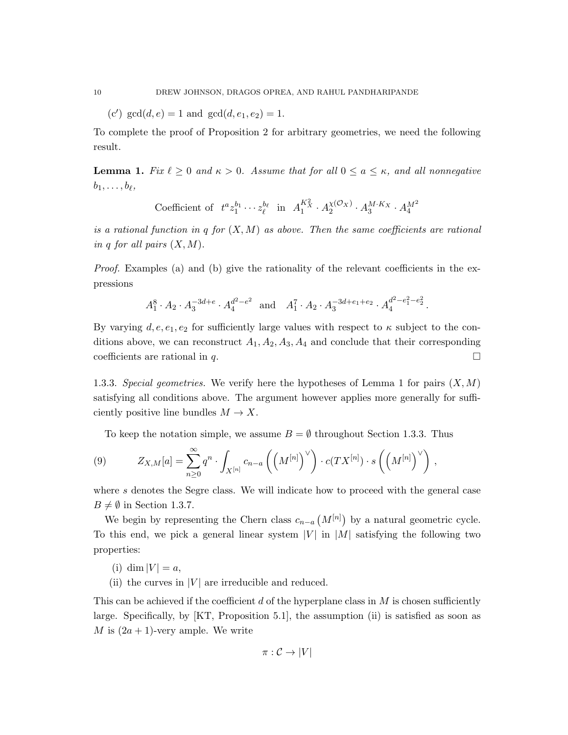(c')  $gcd(d, e) = 1$  and  $gcd(d, e_1, e_2) = 1$ .

To complete the proof of Proposition 2 for arbitrary geometries, we need the following result.

**Lemma 1.** Fix  $\ell \geq 0$  and  $\kappa > 0$ . Assume that for all  $0 \leq a \leq \kappa$ , and all nonnegative  $b_1, \ldots, b_\ell,$ 

Coefficient of 
$$
t^a z_1^{b_1} \cdots z_\ell^{b_\ell}
$$
 in  $A_1^{K_X^2} \cdot A_2^{\chi(\mathcal{O}_X)} \cdot A_3^{M \cdot K_X} \cdot A_4^{M^2}$ 

is a rational function in q for  $(X, M)$  as above. Then the same coefficients are rational in q for all pairs  $(X, M)$ .

Proof. Examples (a) and (b) give the rationality of the relevant coefficients in the expressions

$$
A_1^8 \cdot A_2 \cdot A_3^{-3d+e} \cdot A_4^{d^2-e^2}
$$
 and  $A_1^7 \cdot A_2 \cdot A_3^{-3d+e_1+e_2} \cdot A_4^{d^2-e_1^2-e_2^2}$ 

.

By varying  $d, e, e_1, e_2$  for sufficiently large values with respect to  $\kappa$  subject to the conditions above, we can reconstruct  $A_1, A_2, A_3, A_4$  and conclude that their corresponding coefficients are rational in q.

1.3.3. Special geometries. We verify here the hypotheses of Lemma 1 for pairs  $(X, M)$ satisfying all conditions above. The argument however applies more generally for sufficiently positive line bundles  $M \to X$ .

To keep the notation simple, we assume  $B = \emptyset$  throughout Section 1.3.3. Thus

(9) 
$$
Z_{X,M}[a] = \sum_{n\geq 0}^{\infty} q^n \cdot \int_{X^{[n]}} c_{n-a} \left( \left( M^{[n]} \right)^{\vee} \right) \cdot c(TX^{[n]}) \cdot s \left( \left( M^{[n]} \right)^{\vee} \right),
$$

where s denotes the Segre class. We will indicate how to proceed with the general case  $B \neq \emptyset$  in Section 1.3.7.

We begin by representing the Chern class  $c_{n-a}(M^{[n]})$  by a natural geometric cycle. To this end, we pick a general linear system  $|V|$  in  $|M|$  satisfying the following two properties:

- (i) dim  $|V| = a$ ,
- (ii) the curves in  $|V|$  are irreducible and reduced.

This can be achieved if the coefficient  $d$  of the hyperplane class in  $M$  is chosen sufficiently large. Specifically, by [KT, Proposition 5.1], the assumption (ii) is satisfied as soon as M is  $(2a + 1)$ -very ample. We write

$$
\pi:\mathcal{C}\to|V|
$$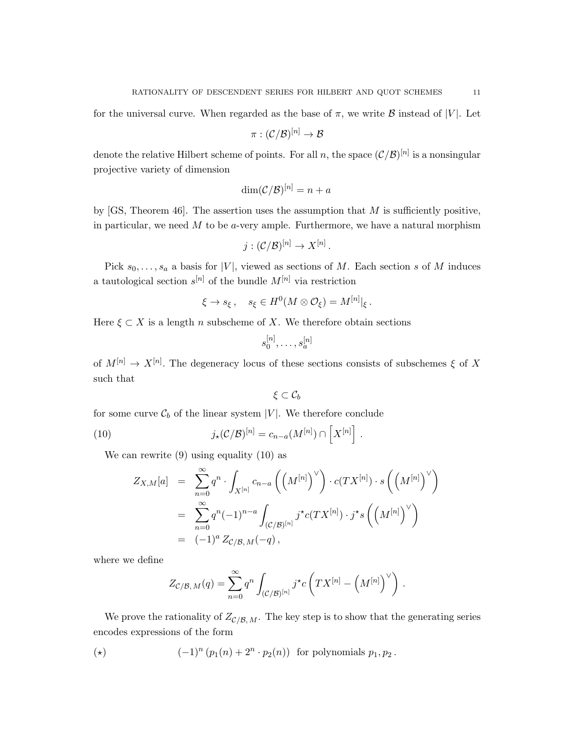for the universal curve. When regarded as the base of  $\pi$ , we write B instead of |V|. Let

$$
\pi: (\mathcal{C}/\mathcal{B})^{[n]}\rightarrow \mathcal{B}
$$

denote the relative Hilbert scheme of points. For all n, the space  $(\mathcal{C}/\mathcal{B})^{[n]}$  is a nonsingular projective variety of dimension

$$
\dim(\mathcal{C}/\mathcal{B})^{[n]} = n + a
$$

by  $[GS, Theorem 46]$ . The assertion uses the assumption that M is sufficiently positive, in particular, we need  $M$  to be a-very ample. Furthermore, we have a natural morphism

$$
j: (\mathcal{C}/\mathcal{B})^{[n]} \to X^{[n]}.
$$

Pick  $s_0, \ldots, s_a$  a basis for |V|, viewed as sections of M. Each section s of M induces a tautological section  $s^{[n]}$  of the bundle  $M^{[n]}$  via restriction

$$
\xi \to s_{\xi} \,, \quad s_{\xi} \in H^0(M \otimes \mathcal{O}_{\xi}) = M^{[n]}|_{\xi} \,.
$$

Here  $\xi \subset X$  is a length n subscheme of X. We therefore obtain sections

$$
s_0^{[n]}, \ldots, s_a^{[n]}
$$

of  $M^{[n]} \to X^{[n]}$ . The degeneracy locus of these sections consists of subschemes  $\xi$  of X such that

$$
\xi\subset \mathcal{C}_b
$$

for some curve  $\mathcal{C}_b$  of the linear system |V|. We therefore conclude

(10) 
$$
j_{\star}(\mathcal{C}/\mathcal{B})^{[n]} = c_{n-a}(M^{[n]}) \cap \left[X^{[n]}\right].
$$

We can rewrite (9) using equality (10) as

$$
Z_{X,M}[a] = \sum_{n=0}^{\infty} q^n \cdot \int_{X^{[n]}} c_{n-a} \left( \left( M^{[n]} \right)^{\vee} \right) \cdot c(TX^{[n]}) \cdot s \left( \left( M^{[n]} \right)^{\vee} \right)
$$
  
= 
$$
\sum_{n=0}^{\infty} q^n (-1)^{n-a} \int_{(C/\mathcal{B})^{[n]}} j^{\star} c(TX^{[n]}) \cdot j^{\star} s \left( \left( M^{[n]} \right)^{\vee} \right)
$$
  
= 
$$
(-1)^a Z_{C/\mathcal{B},M}(-q),
$$

where we define

$$
Z_{\mathcal{C}/\mathcal{B},\,M}(q) = \sum_{n=0}^{\infty} q^n \int_{(\mathcal{C}/\mathcal{B})^{[n]}} j^{\star}c\left(TX^{[n]} - \left(M^{[n]}\right)^{\vee}\right) .
$$

We prove the rationality of  $Z_{\mathcal{C}/\mathcal{B}, M}$ . The key step is to show that the generating series encodes expressions of the form

(\*) 
$$
(-1)^n (p_1(n) + 2^n \cdot p_2(n))
$$
 for polynomials  $p_1, p_2$ .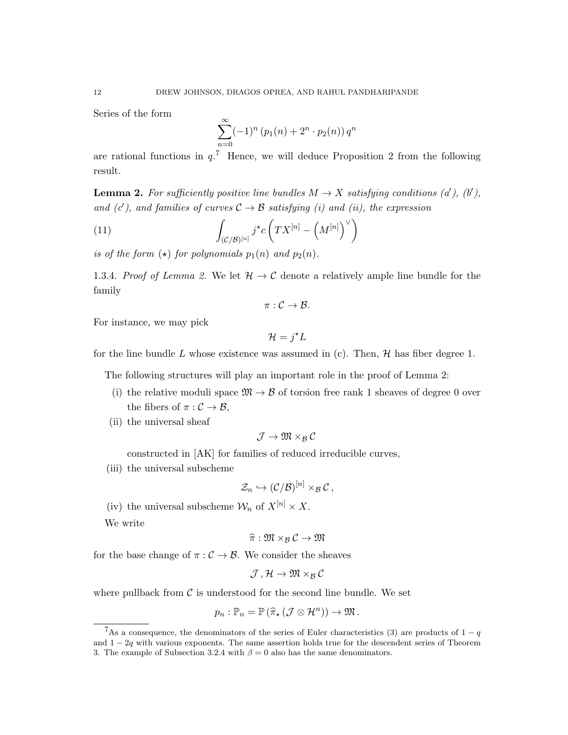Series of the form

$$
\sum_{n=0}^{\infty} (-1)^n (p_1(n) + 2^n \cdot p_2(n)) q^n
$$

are rational functions in  $q$ <sup>7</sup>. Hence, we will deduce Proposition 2 from the following result.

**Lemma 2.** For sufficiently positive line bundles  $M \to X$  satisfying conditions (a'), (b'), and (c'), and families of curves  $C \rightarrow \mathcal{B}$  satisfying (i) and (ii), the expression

(11) 
$$
\int_{(C/B)^{[n]}} j^{\star} c\left(TX^{[n]} - \left(M^{[n]}\right)^{\vee}\right)
$$

is of the form  $(\star)$  for polynomials  $p_1(n)$  and  $p_2(n)$ .

1.3.4. Proof of Lemma 2. We let  $\mathcal{H} \to \mathcal{C}$  denote a relatively ample line bundle for the family

$$
\pi:\mathcal{C}\to\mathcal{B}.
$$

For instance, we may pick

$$
\mathcal{H} = j^{\star} L
$$

for the line bundle L whose existence was assumed in (c). Then,  $H$  has fiber degree 1.

The following structures will play an important role in the proof of Lemma 2:

- (i) the relative moduli space  $\mathfrak{M} \to \mathcal{B}$  of torsion free rank 1 sheaves of degree 0 over the fibers of  $\pi : \mathcal{C} \to \mathcal{B}$ ,
- (ii) the universal sheaf

$$
\mathcal{J}\to \mathfrak{M}\times_{\mathcal{B}}\mathcal{C}
$$

constructed in [AK] for families of reduced irreducible curves,

(iii) the universal subscheme

$$
\mathcal{Z}_n \hookrightarrow (\mathcal{C}/\mathcal{B})^{[n]} \times_{\mathcal{B}} \mathcal{C},
$$

(iv) the universal subscheme  $\mathcal{W}_n$  of  $X^{[n]} \times X$ .

We write

$$
\widehat{\pi}:\mathfrak{M}\times_{\mathcal{B}}\mathcal{C}\to\mathfrak{M}
$$

for the base change of  $\pi : \mathcal{C} \to \mathcal{B}$ . We consider the sheaves

$$
\mathcal{J}\,,\mathcal{H}\rightarrow\mathfrak{M}\times_{\mathcal{B}}\mathcal{C}
$$

where pullback from  $\mathcal C$  is understood for the second line bundle. We set

$$
p_n:\mathbb{P}_n=\mathbb{P}\left(\widehat{\pi}_*(\mathcal{J}\otimes\mathcal{H}^n)\right)\to\mathfrak{M}.
$$

<sup>&</sup>lt;sup>7</sup>As a consequence, the denominators of the series of Euler characteristics (3) are products of  $1 - q$ and  $1 - 2q$  with various exponents. The same assertion holds true for the descendent series of Theorem 3. The example of Subsection 3.2.4 with  $\beta = 0$  also has the same denominators.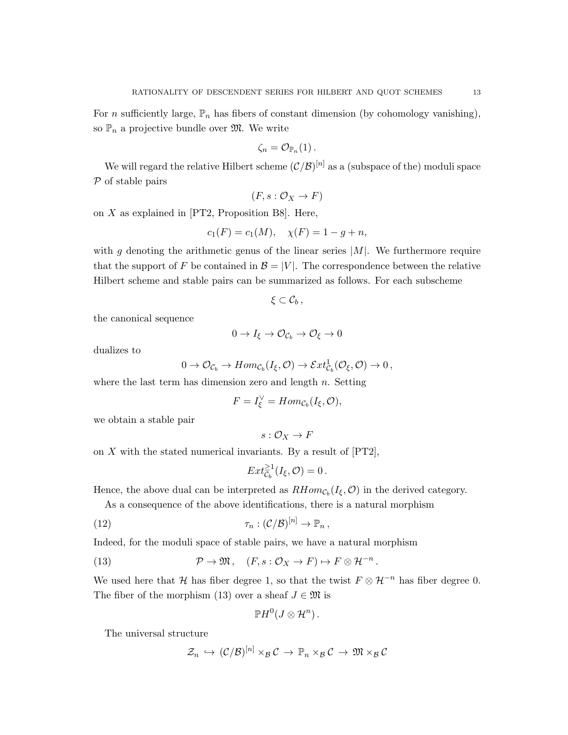For *n* sufficiently large,  $\mathbb{P}_n$  has fibers of constant dimension (by cohomology vanishing), so  $\mathbb{P}_n$  a projective bundle over  $\mathfrak{M}$ . We write

$$
\zeta_n=\mathcal{O}_{\mathbb{P}_n}(1)\,.
$$

We will regard the relative Hilbert scheme  $(\mathcal{C}/\mathcal{B})^{[n]}$  as a (subspace of the) moduli space  $P$  of stable pairs

$$
(F, s: \mathcal{O}_X \to F)
$$

on  $X$  as explained in [PT2, Proposition B8]. Here,

$$
c_1(F) = c_1(M), \quad \chi(F) = 1 - g + n,
$$

with g denoting the arithmetic genus of the linear series  $|M|$ . We furthermore require that the support of F be contained in  $\mathcal{B} = |V|$ . The correspondence between the relative Hilbert scheme and stable pairs can be summarized as follows. For each subscheme

 $\xi\subset \mathcal{C}_b$ ,

the canonical sequence

$$
0 \to I_{\xi} \to \mathcal{O}_{\mathcal{C}_b} \to \mathcal{O}_{\xi} \to 0
$$

dualizes to

$$
0 \to \mathcal{O}_{\mathcal{C}_b} \to Hom_{\mathcal{C}_b}(I_{\xi}, \mathcal{O}) \to \mathcal{E}xt^1_{\mathcal{C}_b}(\mathcal{O}_{\xi}, \mathcal{O}) \to 0,
$$

where the last term has dimension zero and length  $n$ . Setting

$$
F = I_{\xi}^{\vee} = Hom_{\mathcal{C}_b}(I_{\xi}, \mathcal{O}),
$$

we obtain a stable pair

$$
s:\mathcal{O}_X\to F
$$

on  $X$  with the stated numerical invariants. By a result of  $[PT2]$ ,

$$
Ext_{\mathcal{C}_b}^{\geq 1}(I_{\xi}, \mathcal{O}) = 0.
$$

Hence, the above dual can be interpreted as  $RHom_{\mathcal{C}_b}(I_{\xi}, \mathcal{O})$  in the derived category.

As a consequence of the above identifications, there is a natural morphism

(12) 
$$
\tau_n: (\mathcal{C}/\mathcal{B})^{[n]} \to \mathbb{P}_n,
$$

Indeed, for the moduli space of stable pairs, we have a natural morphism

(13) 
$$
\mathcal{P} \to \mathfrak{M}, \quad (F, s: \mathcal{O}_X \to F) \mapsto F \otimes \mathcal{H}^{-n}.
$$

We used here that H has fiber degree 1, so that the twist  $F \otimes H^{-n}$  has fiber degree 0. The fiber of the morphism (13) over a sheaf  $J \in \mathfrak{M}$  is

$$
\mathbb{P} H^0(J \otimes \mathcal{H}^n) \, .
$$

The universal structure

$$
\mathcal{Z}_n \, \hookrightarrow \, (\mathcal{C}/\mathcal{B})^{[n]} \times_{\mathcal{B}} \mathcal{C} \, \rightarrow \, \mathbb{P}_n \times_{\mathcal{B}} \mathcal{C} \, \rightarrow \, \mathfrak{M} \times_{\mathcal{B}} \mathcal{C}
$$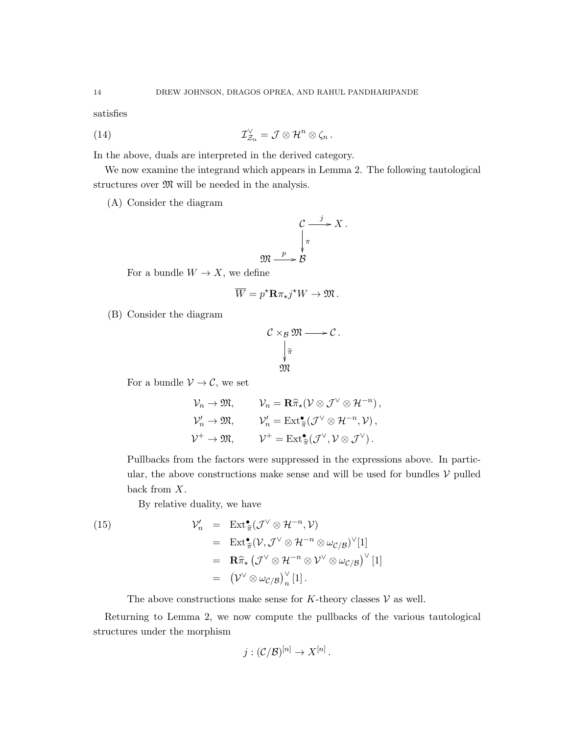satisfies

(14) 
$$
\mathcal{I}_{\mathcal{Z}_n}^{\vee} = \mathcal{J} \otimes \mathcal{H}^n \otimes \zeta_n.
$$

In the above, duals are interpreted in the derived category.

We now examine the integrand which appears in Lemma 2. The following tautological structures over  $\mathfrak{M}$  will be needed in the analysis.

(A) Consider the diagram

$$
\begin{array}{ccc}\n & C & \xrightarrow{j} & X \\
 & \downarrow^{\pi} & \\
\mathfrak{M} & \xrightarrow{p} & \mathcal{B}\n\end{array}
$$

For a bundle  $W \to X$ , we define

$$
\overline{W} = p^* \mathbf{R} \pi_* j^* W \to \mathfrak{M}.
$$

(B) Consider the diagram

$$
C \times_B \mathfrak{M} \longrightarrow C.
$$
  

$$
\downarrow_{\widehat{\pi}}
$$
  

$$
\mathfrak{M}
$$

For a bundle  $\mathcal{V} \to \mathcal{C}$ , we set

$$
\mathcal{V}_n \to \mathfrak{M}, \qquad \mathcal{V}_n = \mathbf{R} \widehat{\pi}_\star (\mathcal{V} \otimes \mathcal{J}^\vee \otimes \mathcal{H}^{-n}),
$$
  

$$
\mathcal{V}'_n \to \mathfrak{M}, \qquad \mathcal{V}'_n = \text{Ext}^\bullet_{\widehat{\pi}}(\mathcal{J}^\vee \otimes \mathcal{H}^{-n}, \mathcal{V}),
$$
  

$$
\mathcal{V}^+ \to \mathfrak{M}, \qquad \mathcal{V}^+ = \text{Ext}^\bullet_{\widehat{\pi}}(\mathcal{J}^\vee, \mathcal{V} \otimes \mathcal{J}^\vee).
$$

Pullbacks from the factors were suppressed in the expressions above. In particular, the above constructions make sense and will be used for bundles  $V$  pulled back from X.

By relative duality, we have

(15) 
$$
\mathcal{V}'_n = \operatorname{Ext}^{\bullet}_{\widehat{\pi}}(\mathcal{J}^{\vee} \otimes \mathcal{H}^{-n}, \mathcal{V})
$$

$$
= \operatorname{Ext}^{\bullet}_{\widehat{\pi}}(\mathcal{V}, \mathcal{J}^{\vee} \otimes \mathcal{H}^{-n} \otimes \omega_{\mathcal{C}/\mathcal{B}})^{\vee}[1]
$$

$$
= \mathbf{R}\widehat{\pi}_{\star}(\mathcal{J}^{\vee} \otimes \mathcal{H}^{-n} \otimes \mathcal{V}^{\vee} \otimes \omega_{\mathcal{C}/\mathcal{B}})^{\vee}[1]
$$

$$
= (\mathcal{V}^{\vee} \otimes \omega_{\mathcal{C}/\mathcal{B}})^{\vee}_{n}[1].
$$

The above constructions make sense for K-theory classes  $V$  as well.

Returning to Lemma 2, we now compute the pullbacks of the various tautological structures under the morphism

$$
j: (\mathcal{C}/\mathcal{B})^{[n]} \to X^{[n]}.
$$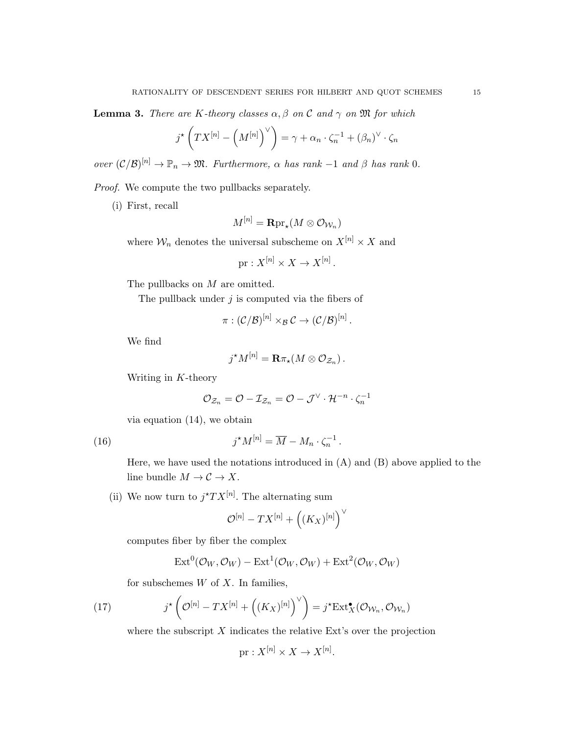**Lemma 3.** There are K-theory classes  $\alpha, \beta$  on C and  $\gamma$  on M for which

$$
j^{\star}\left(TX^{[n]} - \left(M^{[n]}\right)^{\vee}\right) = \gamma + \alpha_n \cdot \zeta_n^{-1} + (\beta_n)^{\vee} \cdot \zeta_n
$$

over  $(C/\mathcal{B})^{[n]} \to \mathbb{P}_n \to \mathfrak{M}$ . Furthermore,  $\alpha$  has rank  $-1$  and  $\beta$  has rank  $0$ .

Proof. We compute the two pullbacks separately.

(i) First, recall

$$
M^{[n]} = {\bf R} {\mathrm{pr}}_{\star}(M \otimes {\mathcal O}_{{\mathcal W}_n})
$$

where  $\mathcal{W}_n$  denotes the universal subscheme on  $X^{[n]} \times X$  and

$$
\text{pr}: X^{[n]} \times X \to X^{[n]}.
$$

The pullbacks on M are omitted.

The pullback under  $j$  is computed via the fibers of

$$
\pi: (\mathcal{C}/\mathcal{B})^{[n]}\times_\mathcal{B}\mathcal{C}\to (\mathcal{C}/\mathcal{B})^{[n]}\,.
$$

We find

$$
j^{\star}M^{[n]} = \mathbf{R}\pi_{\star}(M \otimes \mathcal{O}_{\mathcal{Z}_n}).
$$

Writing in K-theory

$$
\mathcal{O}_{\mathcal{Z}_n} = \mathcal{O} - \mathcal{I}_{\mathcal{Z}_n} = \mathcal{O} - \mathcal{J}^\vee \cdot \mathcal{H}^{-n} \cdot \zeta_n^{-1}
$$

via equation (14), we obtain

(16) 
$$
j^{\star}M^{[n]} = \overline{M} - M_n \cdot \zeta_n^{-1}.
$$

Here, we have used the notations introduced in (A) and (B) above applied to the line bundle  $M \to \mathcal{C} \to X$ .

(ii) We now turn to  $j^*TX^{[n]}$ . The alternating sum

$$
\mathcal{O}^{[n]}-TX^{[n]}+\left((K_X)^{[n]}\right)^\vee
$$

computes fiber by fiber the complex

$$
\operatorname{Ext}^0(\mathcal{O}_W, \mathcal{O}_W) - \operatorname{Ext}^1(\mathcal{O}_W, \mathcal{O}_W) + \operatorname{Ext}^2(\mathcal{O}_W, \mathcal{O}_W)
$$

for subschemes  $W$  of  $X$ . In families,

(17) 
$$
j^{\star} \left( \mathcal{O}^{[n]} - TX^{[n]} + \left( (K_X)^{[n]} \right)^{\vee} \right) = j^{\star} \mathrm{Ext}^{\bullet}_{X}(\mathcal{O}_{\mathcal{W}_n}, \mathcal{O}_{\mathcal{W}_n})
$$

where the subscript  $X$  indicates the relative Ext's over the projection

 $\mathrm{pr}: X^{[n]} \times X \to X^{[n]}.$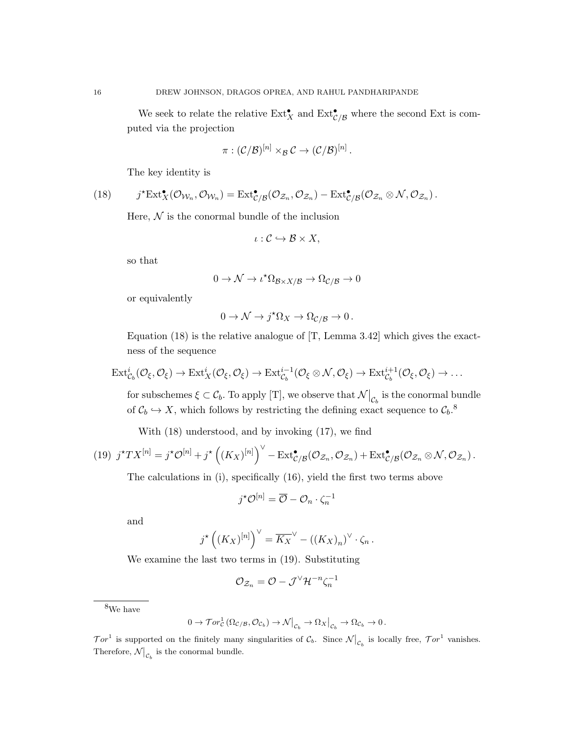We seek to relate the relative  $\text{Ext}^{\bullet}_{X}$  and  $\text{Ext}^{\bullet}_{\mathcal{C}/\mathcal{B}}$  where the second Ext is computed via the projection

$$
\pi: (\mathcal{C}/\mathcal{B})^{[n]} \times_{\mathcal{B}} \mathcal{C} \to (\mathcal{C}/\mathcal{B})^{[n]}.
$$

The key identity is

(18) 
$$
j^{\star} \mathrm{Ext}^{\bullet}_{X}(\mathcal{O}_{\mathcal{W}_n}, \mathcal{O}_{\mathcal{W}_n}) = \mathrm{Ext}^{\bullet}_{\mathcal{C}/\mathcal{B}}(\mathcal{O}_{\mathcal{Z}_n}, \mathcal{O}_{\mathcal{Z}_n}) - \mathrm{Ext}^{\bullet}_{\mathcal{C}/\mathcal{B}}(\mathcal{O}_{\mathcal{Z}_n} \otimes \mathcal{N}, \mathcal{O}_{\mathcal{Z}_n}).
$$

Here,  $\mathcal N$  is the conormal bundle of the inclusion

$$
\iota:\mathcal{C}\hookrightarrow\mathcal{B}\times X,
$$

so that

$$
0 \to \mathcal{N} \to \iota^{\star} \Omega_{\mathcal{B} \times X/\mathcal{B}} \to \Omega_{\mathcal{C}/\mathcal{B}} \to 0
$$

or equivalently

$$
0 \to \mathcal{N} \to j^{\star} \Omega_X \to \Omega_{\mathcal{C}/\mathcal{B}} \to 0.
$$

Equation (18) is the relative analogue of [T, Lemma 3.42] which gives the exactness of the sequence

$$
\mathrm{Ext}^i_{\mathcal{C}_b}(\mathcal{O}_\xi,\mathcal{O}_\xi)\to \mathrm{Ext}^i_X(\mathcal{O}_\xi,\mathcal{O}_\xi)\to \mathrm{Ext}^{i-1}_{\mathcal{C}_b}(\mathcal{O}_\xi\otimes\mathcal{N},\mathcal{O}_\xi)\to \mathrm{Ext}^{i+1}_{\mathcal{C}_b}(\mathcal{O}_\xi,\mathcal{O}_\xi)\to \ldots
$$

for subschemes  $\xi \subset \mathcal{C}_b$ . To apply [T], we observe that  $\mathcal{N}|_{\mathcal{C}_b}$  is the conormal bundle of  $C_b \hookrightarrow X$ , which follows by restricting the defining exact sequence to  $C_b$ .<sup>8</sup>

With (18) understood, and by invoking (17), we find

(19) 
$$
j^{\star}TX^{[n]} = j^{\star}\mathcal{O}^{[n]} + j^{\star}\left((K_X)^{[n]}\right)^{\vee} - \text{Ext}^{\bullet}_{\mathcal{C}/\mathcal{B}}(\mathcal{O}_{\mathcal{Z}_n}, \mathcal{O}_{\mathcal{Z}_n}) + \text{Ext}^{\bullet}_{\mathcal{C}/\mathcal{B}}(\mathcal{O}_{\mathcal{Z}_n} \otimes \mathcal{N}, \mathcal{O}_{\mathcal{Z}_n}).
$$

The calculations in (i), specifically (16), yield the first two terms above

$$
j^{\star}\mathcal{O}^{[n]} = \overline{\mathcal{O}} - \mathcal{O}_n \cdot \zeta_n^{-1}
$$

and

$$
j^{\star} ((K_X)^{[n]})^{\vee} = \overline{K_X}^{\vee} - ((K_X)_n)^{\vee} \cdot \zeta_n.
$$

We examine the last two terms in (19). Substituting

$$
\mathcal{O}_{\mathcal{Z}_n} = \mathcal{O} - \mathcal{J}^{\vee} \mathcal{H}^{-n} \zeta_n^{-1}
$$

<sup>8</sup>We have

$$
0 \to \mathcal{T}or_{\mathcal{C}}^1(\Omega_{\mathcal{C}/\mathcal{B}}, \mathcal{O}_{\mathcal{C}_b}) \to \mathcal{N}\big|_{\mathcal{C}_b} \to \Omega_X\big|_{\mathcal{C}_b} \to \Omega_{\mathcal{C}_b} \to 0.
$$

 $\mathcal{T}or^1$  is supported on the finitely many singularities of  $\mathcal{C}_b$ . Since  $\mathcal{N}|_{\mathcal{C}_b}$  is locally free,  $\mathcal{T}or^1$  vanishes. Therefore,  $\mathcal{N}\big|_{\mathcal{C}_b}$  is the conormal bundle.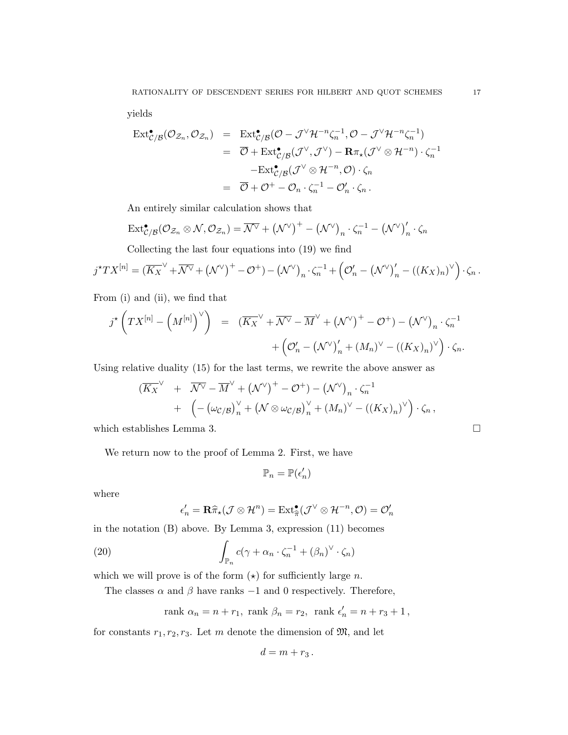yields

$$
\operatorname{Ext}^{\bullet}_{\mathcal{C}/\mathcal{B}}(\mathcal{O}_{\mathcal{Z}_n}, \mathcal{O}_{\mathcal{Z}_n}) = \operatorname{Ext}^{\bullet}_{\mathcal{C}/\mathcal{B}}(\mathcal{O} - \mathcal{J}^{\vee} \mathcal{H}^{-n} \zeta_n^{-1}, \mathcal{O} - \mathcal{J}^{\vee} \mathcal{H}^{-n} \zeta_n^{-1})
$$
  
\n
$$
= \overline{\mathcal{O}} + \operatorname{Ext}^{\bullet}_{\mathcal{C}/\mathcal{B}}(\mathcal{J}^{\vee}, \mathcal{J}^{\vee}) - \mathbf{R}\pi_{\star}(\mathcal{J}^{\vee} \otimes \mathcal{H}^{-n}) \cdot \zeta_n^{-1}
$$
  
\n
$$
- \operatorname{Ext}^{\bullet}_{\mathcal{C}/\mathcal{B}}(\mathcal{J}^{\vee} \otimes \mathcal{H}^{-n}, \mathcal{O}) \cdot \zeta_n
$$
  
\n
$$
= \overline{\mathcal{O}} + \mathcal{O}^+ - \mathcal{O}_n \cdot \zeta_n^{-1} - \mathcal{O}'_n \cdot \zeta_n.
$$

An entirely similar calculation shows that

$$
\text{Ext}^{\bullet}{}_{\mathcal{C}/\mathcal{B}}(\mathcal{O}_{\mathcal{Z}_n} \otimes \mathcal{N}, \mathcal{O}_{\mathcal{Z}_n}) = \overline{\mathcal{N}^{\vee}} + (\mathcal{N}^{\vee})^+ - (\mathcal{N}^{\vee})_n \cdot \zeta_n^{-1} - (\mathcal{N}^{\vee})'_n \cdot \zeta_n
$$

Collecting the last four equations into (19) we find

$$
j^{\star}TX^{[n]} = (\overline{K_X}^{\vee} + \overline{\mathcal{N}^{\vee}} + (\mathcal{N}^{\vee})^+ - \mathcal{O}^+) - (\mathcal{N}^{\vee})_n \cdot \zeta_n^{-1} + (\mathcal{O}'_n - (\mathcal{N}^{\vee})'_n - ((K_X)_n)^{\vee}) \cdot \zeta_n.
$$

From (i) and (ii), we find that

$$
j^{\star} \left( TX^{[n]} - \left( M^{[n]} \right)^{\vee} \right) = \left( \overline{K_X}^{\vee} + \overline{\mathcal{N}^{\vee}} - \overline{M}^{\vee} + \left( \mathcal{N}^{\vee} \right)^{+} - \mathcal{O}^{+} \right) - \left( \mathcal{N}^{\vee} \right)_n \cdot \zeta_n^{-1} + \left( \mathcal{O}'_n - \left( \mathcal{N}^{\vee} \right)'_n + \left( M_n \right)^{\vee} - \left( \left( K_X \right)_n \right)^{\vee} \right) \cdot \zeta_n.
$$

Using relative duality (15) for the last terms, we rewrite the above answer as

$$
(\overline{K_X}^{\vee} + \overline{\mathcal{N}^{\vee}} - \overline{M}^{\vee} + (\mathcal{N}^{\vee})^+ - \mathcal{O}^+) - (\mathcal{N}^{\vee})_n \cdot \zeta_n^{-1} + (- (\omega_{\mathcal{C}/\mathcal{B}})_n^{\vee} + (\mathcal{N} \otimes \omega_{\mathcal{C}/\mathcal{B}})_n^{\vee} + (M_n)^{\vee} - ((K_X)_n)^{\vee}) \cdot \zeta_n,
$$

which establishes Lemma 3.  $\Box$ 

We return now to the proof of Lemma 2. First, we have

$$
\mathbb{P}_n=\mathbb{P}(\epsilon'_n)
$$

where

$$
\epsilon'_n = \mathbf{R}\widehat{\pi}_\star(\mathcal{J}\otimes\mathcal{H}^n) = \mathrm{Ext}^\bullet_{\widehat{\pi}}(\mathcal{J}^\vee\otimes\mathcal{H}^{-n},\mathcal{O}) = \mathcal{O}'_n
$$

in the notation (B) above. By Lemma 3, expression (11) becomes

(20) 
$$
\int_{\mathbb{P}_n} c(\gamma + \alpha_n \cdot \zeta_n^{-1} + (\beta_n)^{\vee} \cdot \zeta_n)
$$

which we will prove is of the form  $(\star)$  for sufficiently large n.

The classes  $\alpha$  and  $\beta$  have ranks -1 and 0 respectively. Therefore,

$$
\mathrm{rank~}\alpha_n=n+r_1,~\mathrm{rank~}\beta_n=r_2,~\mathrm{rank~}\epsilon_n'=n+r_3+1\,,
$$

for constants  $r_1, r_2, r_3$ . Let m denote the dimension of  $\mathfrak{M}$ , and let

$$
d=m+r_3.
$$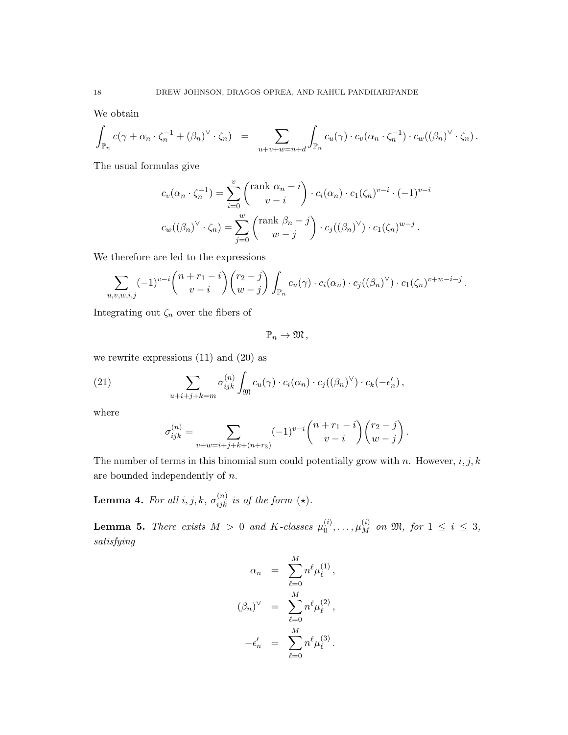We obtain

$$
\int_{\mathbb{P}_n} c(\gamma + \alpha_n \cdot \zeta_n^{-1} + (\beta_n)^{\vee} \cdot \zeta_n) = \sum_{u+v+w=n+d} \int_{\mathbb{P}_n} c_u(\gamma) \cdot c_v(\alpha_n \cdot \zeta_n^{-1}) \cdot c_w((\beta_n)^{\vee} \cdot \zeta_n).
$$

The usual formulas give

$$
c_v(\alpha_n \cdot \zeta_n^{-1}) = \sum_{i=0}^v \binom{\text{rank }\alpha_n - i}{v - i} \cdot c_i(\alpha_n) \cdot c_1(\zeta_n)^{v - i} \cdot (-1)^{v - i}
$$

$$
c_w((\beta_n)^{\vee} \cdot \zeta_n) = \sum_{j=0}^w \binom{\text{rank }\beta_n - j}{w - j} \cdot c_j((\beta_n)^{\vee}) \cdot c_1(\zeta_n)^{w - j}.
$$

We therefore are led to the expressions

$$
\sum_{u,v,w,i,j} (-1)^{v-i} \binom{n+r_1-i}{v-i} \binom{r_2-j}{w-j} \int_{\mathbb{P}_n} c_u(\gamma) \cdot c_i(\alpha_n) \cdot c_j((\beta_n)^{\vee}) \cdot c_1(\zeta_n)^{v+w-i-j}.
$$

Integrating out  $\zeta_n$  over the fibers of

 $\mathbb{P}_n \to \mathfrak{M}$ ,

we rewrite expressions (11) and (20) as

(21) 
$$
\sum_{u+i+j+k=m} \sigma_{ijk}^{(n)} \int_{\mathfrak{M}} c_u(\gamma) \cdot c_i(\alpha_n) \cdot c_j((\beta_n)^{\vee}) \cdot c_k(-\epsilon'_n),
$$

where

$$
\sigma_{ijk}^{(n)} = \sum_{v+w=i+j+k+(n+r_3)} (-1)^{v-i} {n+r_1-i \choose v-i} {r_2-j \choose w-j}.
$$

The number of terms in this binomial sum could potentially grow with n. However,  $i, j, k$ are bounded independently of n.

**Lemma 4.** For all  $i, j, k, \sigma_{ijk}^{(n)}$  is of the form  $(\star)$ .

**Lemma 5.** There exists  $M > 0$  and K-classes  $\mu_0^{(i)}$  $\mu_{0}^{(i)}, \ldots, \mu_{M}^{(i)}$  on  $\mathfrak{M},$  for  $1 \leq i \leq 3$ , satisfying

$$
\alpha_n = \sum_{\ell=0}^M n^{\ell} \mu_{\ell}^{(1)},
$$

$$
(\beta_n)^{\vee} = \sum_{\ell=0}^M n^{\ell} \mu_{\ell}^{(2)},
$$

$$
-\epsilon'_n = \sum_{\ell=0}^M n^{\ell} \mu_{\ell}^{(3)}.
$$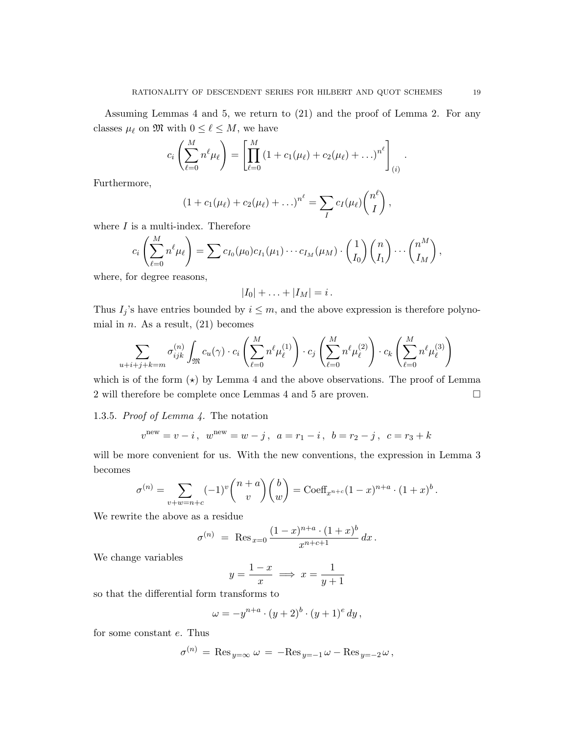Assuming Lemmas 4 and 5, we return to (21) and the proof of Lemma 2. For any classes  $\mu_{\ell}$  on M with  $0 \leq \ell \leq M$ , we have

$$
c_i \left( \sum_{\ell=0}^M n^{\ell} \mu_{\ell} \right) = \left[ \prod_{\ell=0}^M \left( 1 + c_1(\mu_{\ell}) + c_2(\mu_{\ell}) + \ldots \right)^{n^{\ell}} \right]_{(i)}.
$$

Furthermore,

$$
(1 + c_1(\mu_{\ell}) + c_2(\mu_{\ell}) + ...)^{n^{\ell}} = \sum_{I} c_I(\mu_{\ell}) {n^{\ell} \choose I},
$$

where  $I$  is a multi-index. Therefore

$$
c_i\left(\sum_{\ell=0}^M n^{\ell}\mu_{\ell}\right)=\sum c_{I_0}(\mu_0)c_{I_1}(\mu_1)\cdots c_{I_M}(\mu_M)\cdot\binom{1}{I_0}\binom{n}{I_1}\cdots\binom{n^M}{I_M},
$$

where, for degree reasons,

$$
|I_0|+\ldots+|I_M|=i.
$$

Thus  $I_j$ 's have entries bounded by  $i \leq m$ , and the above expression is therefore polynomial in *n*. As a result,  $(21)$  becomes

$$
\sum_{u+i+j+k=m} \sigma_{ijk}^{(n)} \int_{\mathfrak{M}} c_u(\gamma) \cdot c_i \left( \sum_{\ell=0}^M n^{\ell} \mu_{\ell}^{(1)} \right) \cdot c_j \left( \sum_{\ell=0}^M n^{\ell} \mu_{\ell}^{(2)} \right) \cdot c_k \left( \sum_{\ell=0}^M n^{\ell} \mu_{\ell}^{(3)} \right)
$$

which is of the form  $(\star)$  by Lemma 4 and the above observations. The proof of Lemma 2 will therefore be complete once Lemmas 4 and 5 are proven.

## 1.3.5. Proof of Lemma 4. The notation

$$
v^{\text{new}} = v - i
$$
,  $w^{\text{new}} = w - j$ ,  $a = r_1 - i$ ,  $b = r_2 - j$ ,  $c = r_3 + k$ 

will be more convenient for us. With the new conventions, the expression in Lemma 3 becomes

$$
\sigma^{(n)} = \sum_{v+w=n+c} (-1)^v \binom{n+a}{v} \binom{b}{w} = \text{Coeff}_{x^{n+c}} (1-x)^{n+a} \cdot (1+x)^b.
$$

We rewrite the above as a residue

$$
\sigma^{(n)} = \text{Res}_{x=0} \frac{(1-x)^{n+a} \cdot (1+x)^b}{x^{n+c+1}} dx.
$$

We change variables

$$
y = \frac{1-x}{x} \implies x = \frac{1}{y+1}
$$

so that the differential form transforms to

$$
\omega = -y^{n+a} \cdot (y+2)^b \cdot (y+1)^e \, dy \,,
$$

for some constant e. Thus

$$
\sigma^{(n)} = \text{Res}_{y=\infty} \,\omega = -\text{Res}_{y=-1} \omega - \text{Res}_{y=-2} \omega ,
$$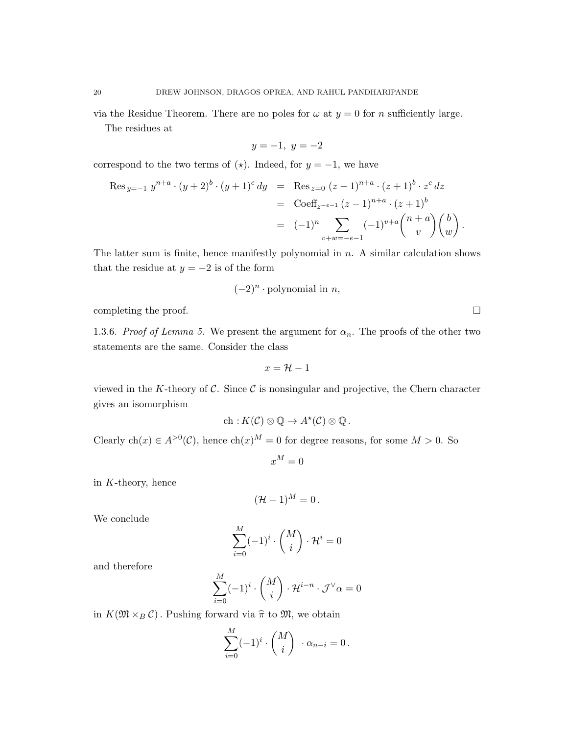via the Residue Theorem. There are no poles for  $\omega$  at  $y = 0$  for n sufficiently large. The residues at

$$
y = -1, \ y = -2
$$

correspond to the two terms of  $(\star)$ . Indeed, for  $y = -1$ , we have

$$
\operatorname{Res}_{y=-1} y^{n+a} \cdot (y+2)^b \cdot (y+1)^e dy = \operatorname{Res}_{z=0} (z-1)^{n+a} \cdot (z+1)^b \cdot z^e dz
$$
  
= 
$$
\operatorname{Coeff}_{z^{-e-1}} (z-1)^{n+a} \cdot (z+1)^b
$$
  
= 
$$
(-1)^n \sum_{v+w=-e-1} (-1)^{v+a} \binom{n+a}{v} \binom{b}{w}.
$$

The latter sum is finite, hence manifestly polynomial in  $n$ . A similar calculation shows that the residue at  $y = -2$  is of the form

$$
(-2)^n \cdot
$$
 polynomial in *n*,

completing the proof.  $\Box$ 

1.3.6. Proof of Lemma 5. We present the argument for  $\alpha_n$ . The proofs of the other two statements are the same. Consider the class

$$
x = \mathcal{H} - 1
$$

viewed in the K-theory of  $\mathcal C$ . Since  $\mathcal C$  is nonsingular and projective, the Chern character gives an isomorphism

$$
\mathrm{ch}: K(\mathcal{C}) \otimes \mathbb{Q} \to A^{\star}(\mathcal{C}) \otimes \mathbb{Q}.
$$

Clearly ch(x)  $\in A^{>0}(\mathcal{C})$ , hence ch(x)<sup>M</sup> = 0 for degree reasons, for some M > 0. So

$$
x^M=0
$$

in K-theory, hence

$$
(\mathcal{H}-1)^M=0.
$$

We conclude

$$
\sum_{i=0}^{M} (-1)^{i} \cdot \binom{M}{i} \cdot \mathcal{H}^{i} = 0
$$

and therefore

$$
\sum_{i=0}^M (-1)^i \cdot \binom{M}{i} \cdot \mathcal{H}^{i-n} \cdot \mathcal{J}^\vee \alpha = 0
$$

in  $K(\mathfrak{M} \times_B \mathcal{C})$ . Pushing forward via  $\hat{\pi}$  to  $\mathfrak{M}$ , we obtain

 $\ddot{\phantom{0}}$ 

$$
\sum_{i=0}^{M} (-1)^{i} \cdot \binom{M}{i} \cdot \alpha_{n-i} = 0.
$$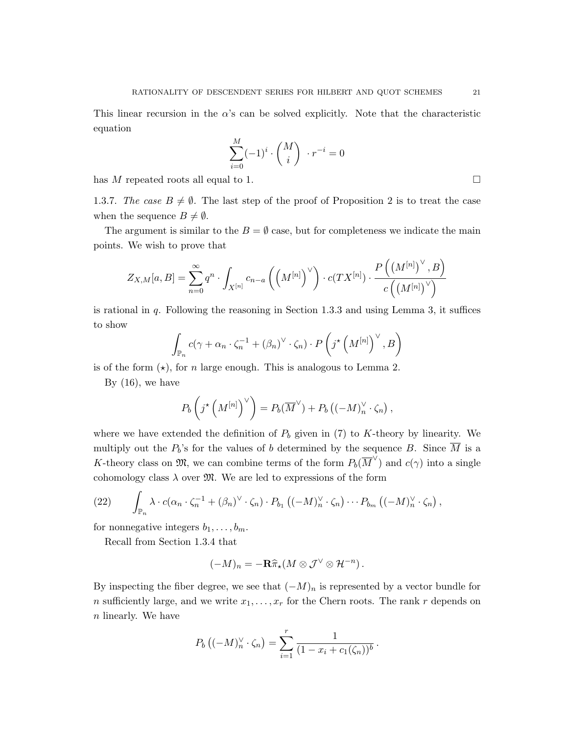This linear recursion in the  $\alpha$ 's can be solved explicitly. Note that the characteristic equation

$$
\sum_{i=0}^{M} (-1)^{i} \cdot \binom{M}{i} \cdot r^{-i} = 0
$$

has M repeated roots all equal to 1.

1.3.7. The case  $B \neq \emptyset$ . The last step of the proof of Proposition 2 is to treat the case when the sequence  $B \neq \emptyset$ .

The argument is similar to the  $B = \emptyset$  case, but for completeness we indicate the main points. We wish to prove that

$$
Z_{X,M}[a,B]=\sum_{n=0}^\infty q^n\cdot \int_{X^{[n]}}c_{n-a}\left(\left(M^{[n]}\right)^{\vee}\right)\cdot c(TX^{[n]})\cdot \frac{P\left(\left(M^{[n]}\right)^{\vee},B\right)}{c\left(\left(M^{[n]}\right)^{\vee}\right)}
$$

is rational in  $q$ . Following the reasoning in Section 1.3.3 and using Lemma 3, it suffices to show

$$
\int_{\mathbb{P}_n} c(\gamma + \alpha_n \cdot \zeta_n^{-1} + (\beta_n)^{\vee} \cdot \zeta_n) \cdot P\left(j^{\star}\left(M^{[n]}\right)^{\vee}, B\right)
$$

is of the form  $(\star)$ , for n large enough. This is analogous to Lemma 2.

By  $(16)$ , we have

$$
P_b\left(j^{\star}\left(M^{[n]}\right)^{\vee}\right) = P_b(\overline{M}^{\vee}) + P_b\left((-M)_{n}^{\vee}\cdot\zeta_n\right),
$$

where we have extended the definition of  $P_b$  given in (7) to K-theory by linearity. We multiply out the  $P_b$ 's for the values of b determined by the sequence B. Since  $\overline{M}$  is a K-theory class on  $\mathfrak{M}$ , we can combine terms of the form  $P_b(\overline{M}^{\vee})$  and  $c(\gamma)$  into a single cohomology class  $\lambda$  over  $\mathfrak{M}$ . We are led to expressions of the form

(22) 
$$
\int_{\mathbb{P}_n} \lambda \cdot c(\alpha_n \cdot \zeta_n^{-1} + (\beta_n)^{\vee} \cdot \zeta_n) \cdot P_{b_1} \left( (-M)_n^{\vee} \cdot \zeta_n \right) \cdots P_{b_m} \left( (-M)_n^{\vee} \cdot \zeta_n \right),
$$

for nonnegative integers  $b_1, \ldots, b_m$ .

Recall from Section 1.3.4 that

$$
(-M)_n = -\mathbf{R}\widehat{\pi}_\star (M \otimes \mathcal{J}^\vee \otimes \mathcal{H}^{-n}).
$$

By inspecting the fiber degree, we see that  $(-M)_n$  is represented by a vector bundle for n sufficiently large, and we write  $x_1, \ldots, x_r$  for the Chern roots. The rank r depends on n linearly. We have

$$
P_b ((-M)_n^{\vee} \cdot \zeta_n) = \sum_{i=1}^r \frac{1}{(1 - x_i + c_1(\zeta_n))^b}.
$$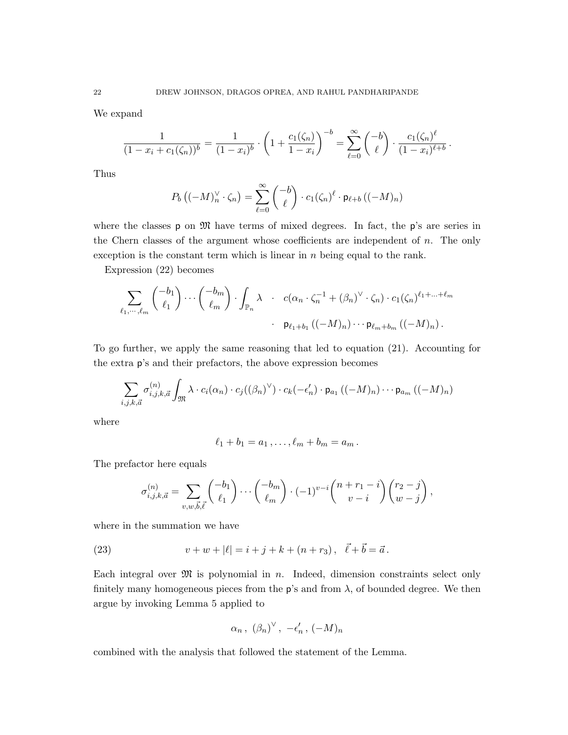We expand

$$
\frac{1}{(1-x_i+c_1(\zeta_n))^b} = \frac{1}{(1-x_i)^b} \cdot \left(1+\frac{c_1(\zeta_n)}{1-x_i}\right)^{-b} = \sum_{\ell=0}^{\infty} {\binom{-b}{\ell}} \cdot \frac{c_1(\zeta_n)^{\ell}}{(1-x_i)^{\ell+b}}.
$$

Thus

$$
P_b\left((-M)_n^{\vee} \cdot \zeta_n\right) = \sum_{\ell=0}^{\infty} \binom{-b}{\ell} \cdot c_1(\zeta_n)^{\ell} \cdot \mathsf{p}_{\ell+b}\left((-M)_n\right)
$$

where the classes  $p$  on  $\mathfrak{M}$  have terms of mixed degrees. In fact, the  $p$ 's are series in the Chern classes of the argument whose coefficients are independent of  $n$ . The only exception is the constant term which is linear in  $n$  being equal to the rank.

Expression (22) becomes

$$
\sum_{\ell_1,\dots,\ell_m} \binom{-b_1}{\ell_1} \cdots \binom{-b_m}{\ell_m} \cdot \int_{\mathbb{P}_n} \lambda \quad c(\alpha_n \cdot \zeta_n^{-1} + (\beta_n)^{\vee} \cdot \zeta_n) \cdot c_1(\zeta_n)^{\ell_1 + \dots + \ell_m}
$$
\n
$$
\cdot p_{\ell_1 + b_1} \left( (-M)_n \right) \cdots p_{\ell_m + b_m} \left( (-M)_n \right).
$$

To go further, we apply the same reasoning that led to equation (21). Accounting for the extra p's and their prefactors, the above expression becomes

$$
\sum_{i,j,k,\vec{a}} \sigma_{i,j,k,\vec{a}}^{(n)} \int_{\mathfrak{M}} \lambda \cdot c_i(\alpha_n) \cdot c_j((\beta_n)^{\vee}) \cdot c_k(-\epsilon'_n) \cdot \mathsf{p}_{a_1} ((-M)_n) \cdots \mathsf{p}_{a_m} ((-M)_n)
$$

where

$$
\ell_1+b_1=a_1,\ldots,\ell_m+b_m=a_m.
$$

The prefactor here equals

$$
\sigma_{i,j,k,\vec{a}}^{(n)} = \sum_{v,w,\vec{b},\vec{\ell}} \binom{-b_1}{\ell_1} \cdots \binom{-b_m}{\ell_m} \cdot (-1)^{v-i} \binom{n+r_1-i}{v-i} \binom{r_2-j}{w-j},
$$

where in the summation we have

(23) 
$$
v + w + |\ell| = i + j + k + (n + r_3), \quad \vec{\ell} + \vec{b} = \vec{a}.
$$

Each integral over  $\mathfrak{M}$  is polynomial in n. Indeed, dimension constraints select only finitely many homogeneous pieces from the  $p$ 's and from  $\lambda$ , of bounded degree. We then argue by invoking Lemma 5 applied to

$$
\alpha_n\,,\; \left(\beta_n\right)^\vee,\; -\epsilon_n'\,,\; (-M)_n
$$

combined with the analysis that followed the statement of the Lemma.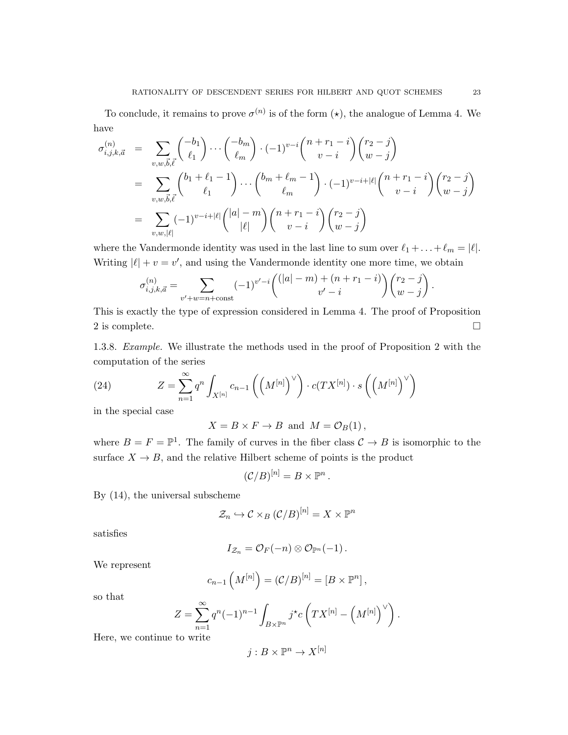To conclude, it remains to prove  $\sigma^{(n)}$  is of the form  $(\star)$ , the analogue of Lemma 4. We have

$$
\sigma_{i,j,k,\vec{a}}^{(n)} = \sum_{v,w,\vec{b},\vec{\ell}} \binom{-b_1}{\ell_1} \cdots \binom{-b_m}{\ell_m} \cdot (-1)^{v-i} \binom{n+r_1-i}{v-i} \binom{r_2-j}{w-j} \n= \sum_{v,w,\vec{b},\vec{\ell}} \binom{b_1+\ell_1-1}{\ell_1} \cdots \binom{b_m+\ell_m-1}{\ell_m} \cdot (-1)^{v-i+|\ell|} \binom{n+r_1-i}{v-i} \binom{r_2-j}{w-j} \n= \sum_{v,w,|\ell|} (-1)^{v-i+|\ell|} \binom{|a|-m}{|\ell|} \binom{n+r_1-i}{v-i} \binom{r_2-j}{w-j}
$$

where the Vandermonde identity was used in the last line to sum over  $\ell_1 + \ldots + \ell_m = |\ell|.$ Writing  $|\ell| + v = v'$ , and using the Vandermonde identity one more time, we obtain

$$
\sigma_{i,j,k,\vec{a}}^{(n)} = \sum_{v'+w=n+\text{const}} (-1)^{v'-i} \binom{(|a|-m)+(n+r_1-i)}{v'-i} \binom{r_2-j}{w-j}.
$$

This is exactly the type of expression considered in Lemma 4. The proof of Proposition 2 is complete.  $\Box$ 

1.3.8. Example. We illustrate the methods used in the proof of Proposition 2 with the computation of the series

(24) 
$$
Z = \sum_{n=1}^{\infty} q^n \int_{X^{[n]}} c_{n-1} \left( \left( M^{[n]} \right)^{\vee} \right) \cdot c(TX^{[n]}) \cdot s \left( \left( M^{[n]} \right)^{\vee} \right)
$$

in the special case

$$
X = B \times F \to B \text{ and } M = \mathcal{O}_B(1),
$$

where  $B = F = \mathbb{P}^1$ . The family of curves in the fiber class  $C \to B$  is isomorphic to the surface  $X \to B$ , and the relative Hilbert scheme of points is the product

 $(C/B)^{[n]} = B \times \mathbb{P}^n$ .

By (14), the universal subscheme

$$
\mathcal{Z}_n \hookrightarrow \mathcal{C} \times_B (\mathcal{C}/B)^{[n]} = X \times \mathbb{P}^n
$$

satisfies

$$
I_{\mathcal{Z}_n}=\mathcal{O}_F(-n)\otimes \mathcal{O}_{\mathbb{P}^n}(-1)\,.
$$

We represent

$$
c_{n-1}\left(M^{[n]}\right) = \left(\frac{C}{B}\right)^{[n]} = \left[B \times \mathbb{P}^n\right],
$$

so that

$$
Z = \sum_{n=1}^{\infty} q^n (-1)^{n-1} \int_{B \times \mathbb{P}^n} j^{\star} c\left(TX^{[n]} - \left(M^{[n]}\right)^{\vee}\right).
$$

Here, we continue to write

$$
j: B \times \mathbb{P}^n \to X^{[n]}
$$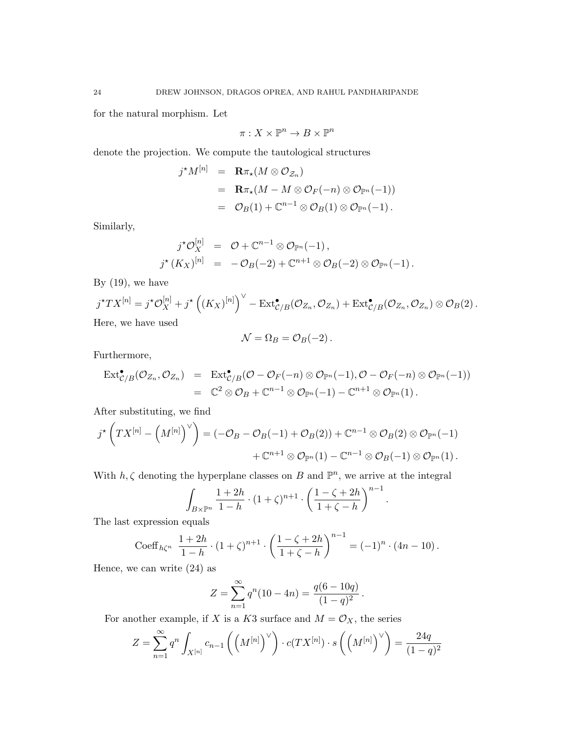for the natural morphism. Let

$$
\pi:X\times\mathbb{P}^n\to B\times\mathbb{P}^n
$$

denote the projection. We compute the tautological structures

$$
\begin{array}{lcl} j^\star M^{[n]} & = & \mathbf{R} \pi_\star (M \otimes \mathcal{O}_{\mathcal{Z}_n}) \\ \\ & = & \mathbf{R} \pi_\star (M - M \otimes \mathcal{O}_F(-n) \otimes \mathcal{O}_{\mathbb{P}^n}(-1)) \\ \\ & = & \mathcal{O}_B(1) + \mathbb{C}^{n-1} \otimes \mathcal{O}_B(1) \otimes \mathcal{O}_{\mathbb{P}^n}(-1) \, . \end{array}
$$

Similarly,

$$
j^{\star}\mathcal{O}_{X}^{[n]} = \mathcal{O} + \mathbb{C}^{n-1} \otimes \mathcal{O}_{\mathbb{P}^n}(-1),
$$
  

$$
j^{\star}(K_{X})^{[n]} = -\mathcal{O}_{B}(-2) + \mathbb{C}^{n+1} \otimes \mathcal{O}_{B}(-2) \otimes \mathcal{O}_{\mathbb{P}^n}(-1).
$$

By  $(19)$ , we have

$$
j^{\star}TX^{[n]} = j^{\star}\mathcal{O}_X^{[n]} + j^{\star}\left((K_X)^{[n]}\right)^{\vee} - \text{Ext}^{\bullet}_{\mathcal{C}/B}(\mathcal{O}_{Z_n}, \mathcal{O}_{Z_n}) + \text{Ext}^{\bullet}_{\mathcal{C}/B}(\mathcal{O}_{Z_n}, \mathcal{O}_{Z_n}) \otimes \mathcal{O}_B(2).
$$
  
Here, we have used

$$
\mathcal{N} = \Omega_B = \mathcal{O}_B(-2) \, .
$$

Furthermore,

$$
\mathrm{Ext}^{\bullet} _{\mathcal{C}/B}(\mathcal{O}_{Z_n}, \mathcal{O}_{Z_n}) = \mathrm{Ext}^{\bullet} _{\mathcal{C}/B}(\mathcal{O} - \mathcal{O}_F(-n) \otimes \mathcal{O}_{\mathbb{P}^n}(-1), \mathcal{O} - \mathcal{O}_F(-n) \otimes \mathcal{O}_{\mathbb{P}^n}(-1))
$$
  
=  $\mathbb{C}^2 \otimes \mathcal{O}_B + \mathbb{C}^{n-1} \otimes \mathcal{O}_{\mathbb{P}^n}(-1) - \mathbb{C}^{n+1} \otimes \mathcal{O}_{\mathbb{P}^n}(1).$ 

After substituting, we find

$$
j^{\star}\left(TX^{[n]}-\left(M^{[n]}\right)^{\vee}\right)=\left(-\mathcal{O}_{B}-\mathcal{O}_{B}(-1)+\mathcal{O}_{B}(2)\right)+\mathbb{C}^{n-1}\otimes\mathcal{O}_{B}(2)\otimes\mathcal{O}_{\mathbb{P}^n}(-1)+\mathbb{C}^{n+1}\otimes\mathcal{O}_{\mathbb{P}^n}(1)-\mathbb{C}^{n-1}\otimes\mathcal{O}_{B}(-1)\otimes\mathcal{O}_{\mathbb{P}^n}(1).
$$

With  $h, \zeta$  denoting the hyperplane classes on B and  $\mathbb{P}^n$ , we arrive at the integral

$$
\int_{B \times \mathbb{P}^n} \frac{1+2h}{1-h} \cdot (1+\zeta)^{n+1} \cdot \left(\frac{1-\zeta+2h}{1+\zeta-h}\right)^{n-1}.
$$

The last expression equals

Coeff<sub>h\zeta<sup>n</sup></sub> 
$$
\frac{1+2h}{1-h} \cdot (1+\zeta)^{n+1} \cdot \left(\frac{1-\zeta+2h}{1+\zeta-h}\right)^{n-1} = (-1)^n \cdot (4n-10).
$$

Hence, we can write (24) as

$$
Z = \sum_{n=1}^{\infty} q^n (10 - 4n) = \frac{q(6 - 10q)}{(1 - q)^2}.
$$

For another example, if X is a K3 surface and  $M = \mathcal{O}_X$ , the series

$$
Z = \sum_{n=1}^{\infty} q^n \int_{X^{[n]}} c_{n-1} \left( \left( M^{[n]} \right)^{\vee} \right) \cdot c(TX^{[n]}) \cdot s \left( \left( M^{[n]} \right)^{\vee} \right) = \frac{24q}{(1-q)^2}
$$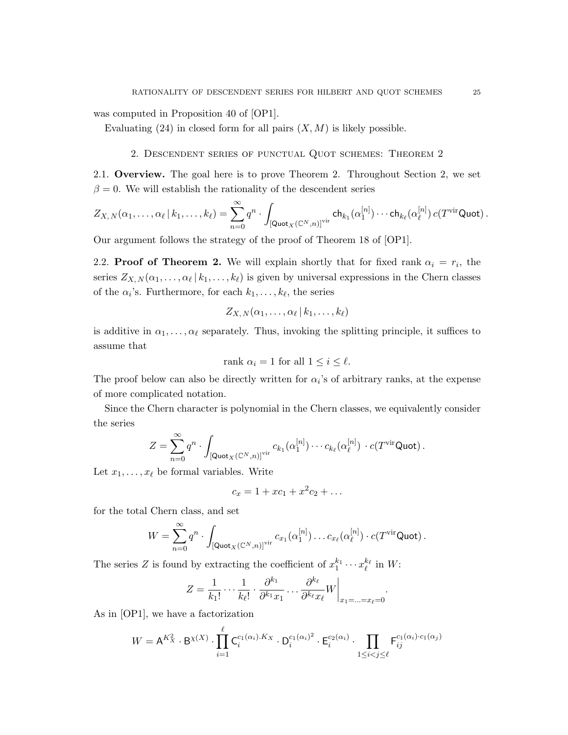was computed in Proposition 40 of [OP1].

Evaluating  $(24)$  in closed form for all pairs  $(X, M)$  is likely possible.

2. Descendent series of punctual Quot schemes: Theorem 2

2.1. Overview. The goal here is to prove Theorem 2. Throughout Section 2, we set  $\beta = 0$ . We will establish the rationality of the descendent series

$$
Z_{X,\,N}(\alpha_1,\ldots,\alpha_\ell\,|\,k_1,\ldots,k_\ell) = \sum_{n=0}^\infty q^n \cdot \int_{\left[\mathsf {Quot}_X(\mathbb C^N,n)\right]^{\text{vir}}} \mathsf {ch}_{k_1}(\alpha_1^{[n]})\cdots \mathsf{ch}_{k_\ell}(\alpha_\ell^{[n]})\,c(T^{\text{vir}}\mathsf {Quot})\,.
$$

Our argument follows the strategy of the proof of Theorem 18 of [OP1].

2.2. **Proof of Theorem 2.** We will explain shortly that for fixed rank  $\alpha_i = r_i$ , the series  $Z_{X,N}(\alpha_1,\ldots,\alpha_\ell\,|\,k_1,\ldots,k_\ell)$  is given by universal expressions in the Chern classes of the  $\alpha_i$ 's. Furthermore, for each  $k_1, \ldots, k_\ell$ , the series

$$
Z_{X,\,N}(\alpha_1,\ldots,\alpha_\ell\,|\,k_1,\ldots,k_\ell)
$$

is additive in  $\alpha_1, \ldots, \alpha_\ell$  separately. Thus, invoking the splitting principle, it suffices to assume that

rank 
$$
\alpha_i = 1
$$
 for all  $1 \leq i \leq \ell$ .

The proof below can also be directly written for  $\alpha_i$ 's of arbitrary ranks, at the expense of more complicated notation.

Since the Chern character is polynomial in the Chern classes, we equivalently consider the series

$$
Z=\sum_{n=0}^{\infty}q^n\cdot\int_{\left[\mathsf {Quot}_X(\mathbb C^N,n)\right]^{\text{vir}}}c_{k_1}(\alpha_1^{[n]})\cdots c_{k_\ell}(\alpha_\ell^{[n]})\cdot c(T^{\text{vir}}\mathsf {Quot}).
$$

Let  $x_1, \ldots, x_\ell$  be formal variables. Write

$$
c_x = 1 + xc_1 + x^2c_2 + \dots
$$

for the total Chern class, and set

$$
W = \sum_{n=0}^{\infty} q^n \cdot \int_{\left[\mathsf{Quot}_X(\mathbb{C}^N,n)\right]^{\text{vir}}} c_{x_1}(\alpha_1^{[n]}) \dots c_{x_\ell}(\alpha_\ell^{[n]}) \cdot c(T^{\text{vir}} \mathsf{Quot}).
$$

The series Z is found by extracting the coefficient of  $x_1^{k_1} \cdots x_\ell^{k_\ell}$  in W:

$$
Z = \frac{1}{k_1!} \cdots \frac{1}{k_\ell!} \cdot \frac{\partial^{k_1}}{\partial^{k_1} x_1} \cdots \frac{\partial^{k_\ell}}{\partial^{k_\ell} x_\ell} W \bigg|_{x_1 = \ldots = x_\ell = 0}.
$$

As in [OP1], we have a factorization

$$
W = \mathsf{A}^{K_X^2} \cdot \mathsf{B}^{X(X)} \cdot \prod_{i=1}^{\ell} \mathsf{C}_i^{c_1(\alpha_i).K_X} \cdot \mathsf{D}_i^{c_1(\alpha_i)^2} \cdot \mathsf{E}_i^{c_2(\alpha_i)} \cdot \prod_{1 \le i < j \le \ell} \mathsf{F}_{ij}^{c_1(\alpha_i) \cdot c_1(\alpha_j)}
$$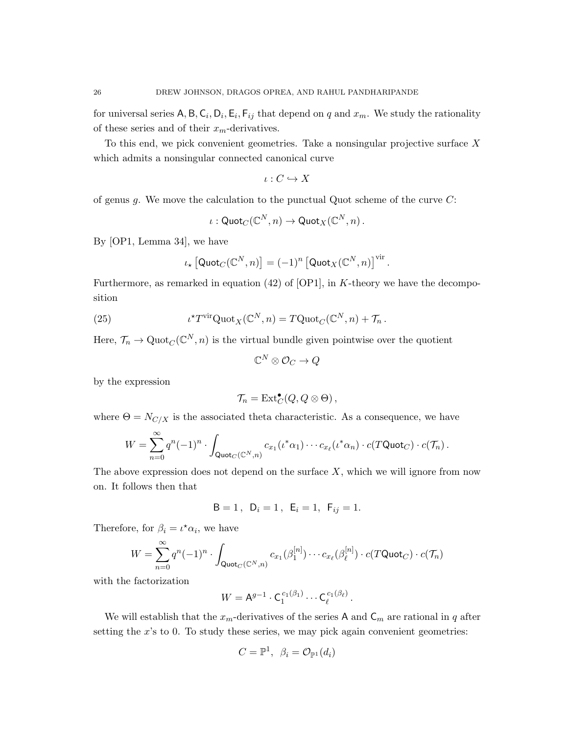for universal series  $\mathsf{A}, \mathsf{B}, \mathsf{C}_i, \mathsf{D}_i, \mathsf{E}_i, \mathsf{F}_{ij}$  that depend on q and  $x_m$ . We study the rationality of these series and of their  $x_m$ -derivatives.

To this end, we pick convenient geometries. Take a nonsingular projective surface X which admits a nonsingular connected canonical curve

$$
\iota:C\hookrightarrow X
$$

of genus g. We move the calculation to the punctual Quot scheme of the curve  $C$ :

$$
\iota: {\sf Quot}_C(\mathbb{C}^N, n) \to {\sf Quot}_X(\mathbb{C}^N, n)\,.
$$

By [OP1, Lemma 34], we have

$$
\iota_{\star}\left[\mathsf{Quot}_{C}(\mathbb{C}^{N},n)\right] = (-1)^{n}\left[\mathsf{Quot}_{X}(\mathbb{C}^{N},n)\right]^{\mathrm{vir}}
$$

.

Furthermore, as remarked in equation  $(42)$  of  $[OP1]$ , in K-theory we have the decomposition

(25) 
$$
\iota^{\star} T^{\text{vir}} \text{Quot}_X(\mathbb{C}^N, n) = T \text{Quot}_C(\mathbb{C}^N, n) + \mathcal{T}_n.
$$

Here,  $\mathcal{T}_n \to \mathrm{Quot}_{\mathcal{C}}(\mathbb{C}^N, n)$  is the virtual bundle given pointwise over the quotient

$$
\mathbb{C}^N\otimes \mathcal{O}_C\to Q
$$

by the expression

$$
\mathcal{T}_n = \text{Ext}^{\bullet}_C(Q, Q \otimes \Theta),
$$

where  $\Theta = N_{C/X}$  is the associated theta characteristic. As a consequence, we have

$$
W=\sum_{n=0}^{\infty}q^n(-1)^n\cdot\int_{\text{Quot}_C(\mathbb{C}^N,n)}c_{x_1}(\iota^*\alpha_1)\cdots c_{x_\ell}(\iota^*\alpha_n)\cdot c(T\text{Quot}_C)\cdot c(\mathcal{T}_n).
$$

The above expression does not depend on the surface  $X$ , which we will ignore from now on. It follows then that

$$
B = 1
$$
,  $D_i = 1$ ,  $E_i = 1$ ,  $F_{ij} = 1$ .

Therefore, for  $\beta_i = \iota^* \alpha_i$ , we have

$$
W = \sum_{n=0}^{\infty} q^n (-1)^n \cdot \int_{\text{Quot}_C(\mathbb{C}^N, n)} c_{x_1}(\beta_1^{[n]}) \cdots c_{x_\ell}(\beta_\ell^{[n]}) \cdot c(T\text{Quot}_C) \cdot c(\mathcal{T}_n)
$$

with the factorization

$$
W = A^{g-1} \cdot C_1^{c_1(\beta_1)} \cdots C_\ell^{c_1(\beta_\ell)}.
$$

We will establish that the  $x_m$ -derivatives of the series A and  $C_m$  are rational in q after setting the  $x$ 's to 0. To study these series, we may pick again convenient geometries:

$$
C = \mathbb{P}^1, \ \beta_i = \mathcal{O}_{\mathbb{P}^1}(d_i)
$$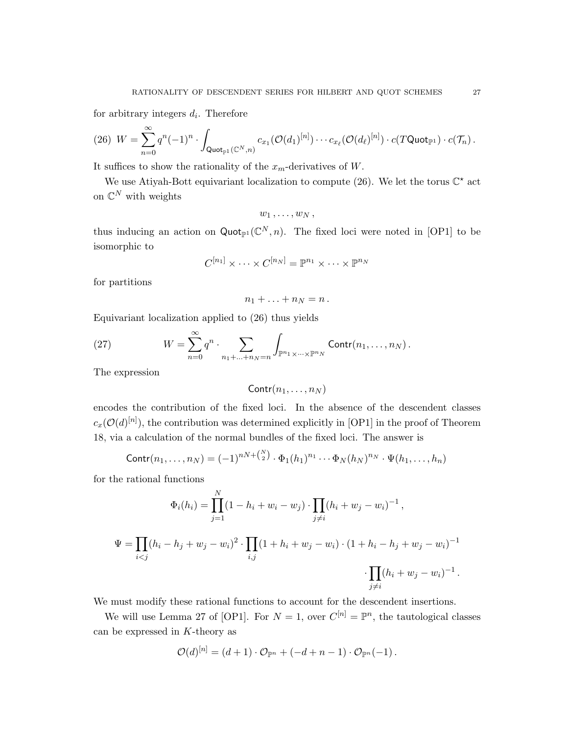for arbitrary integers  $d_i$ . Therefore

$$
(26) \ W = \sum_{n=0}^{\infty} q^n (-1)^n \cdot \int_{\text{Quot}_{\mathbb{P}^1}(\mathbb{C}^N,n)} c_{x_1}(\mathcal{O}(d_1)^{[n]}) \cdots c_{x_\ell}(\mathcal{O}(d_\ell)^{[n]}) \cdot c(T\text{Quot}_{\mathbb{P}^1}) \cdot c(\mathcal{T}_n) .
$$

It suffices to show the rationality of the  $x_m$ -derivatives of W.

We use Atiyah-Bott equivariant localization to compute (26). We let the torus  $\mathbb{C}^*$  act on  $\mathbb{C}^N$  with weights

$$
w_1\, ,\ldots\, ,w_N\, ,
$$

thus inducing an action on  $\text{Quot}_{\mathbb{P}^1}(\mathbb{C}^N,n)$ . The fixed loci were noted in [OP1] to be isomorphic to

$$
C^{[n_1]}\times\cdots\times C^{[n_N]}=\mathbb{P}^{n_1}\times\cdots\times\mathbb{P}^{n_N}
$$

for partitions

$$
n_1+\ldots+n_N=n\,.
$$

Equivariant localization applied to (26) thus yields

(27) 
$$
W = \sum_{n=0}^{\infty} q^n \cdot \sum_{n_1 + \dots + n_N = n} \int_{\mathbb{P}^{n_1} \times \dots \times \mathbb{P}^{n_N}} \text{Contr}(n_1, \dots, n_N) .
$$

The expression

$$
Contr(n_1,\ldots,n_N)
$$

encodes the contribution of the fixed loci. In the absence of the descendent classes  $c_x(\mathcal{O}(d)^{[n]})$ , the contribution was determined explicitly in [OP1] in the proof of Theorem 18, via a calculation of the normal bundles of the fixed loci. The answer is

$$
Contr(n_1, ..., n_N) = (-1)^{nN + {N \choose 2}} \cdot \Phi_1(h_1)^{n_1} \cdots \Phi_N(h_N)^{n_N} \cdot \Psi(h_1, ..., h_n)
$$

for the rational functions

$$
\Phi_i(h_i) = \prod_{j=1}^N (1 - h_i + w_i - w_j) \cdot \prod_{j \neq i} (h_i + w_j - w_i)^{-1},
$$
  

$$
\Psi = \prod_{i < j} (h_i - h_j + w_j - w_i)^2 \cdot \prod_{i,j} (1 + h_i + w_j - w_i) \cdot (1 + h_i - h_j + w_j - w_i)^{-1} \cdot \prod_{j \neq i} (h_i + w_j - w_i)^{-1}.
$$

We must modify these rational functions to account for the descendent insertions.

We will use Lemma 27 of [OP1]. For  $N = 1$ , over  $C^{[n]} = \mathbb{P}^n$ , the tautological classes can be expressed in  $K$ -theory as

$$
\mathcal{O}(d)^{[n]} = (d+1) \cdot \mathcal{O}_{\mathbb{P}^n} + (-d+n-1) \cdot \mathcal{O}_{\mathbb{P}^n}(-1).
$$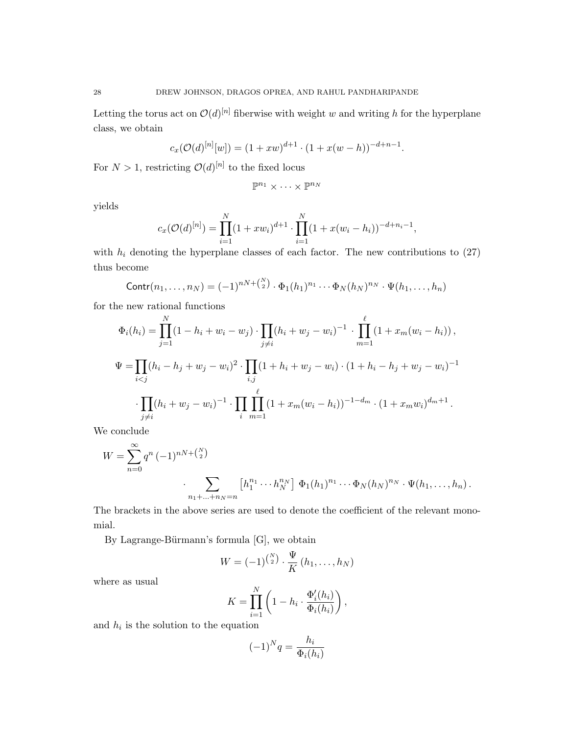Letting the torus act on  $\mathcal{O}(d)^{[n]}$  fiberwise with weight w and writing h for the hyperplane class, we obtain

$$
c_x(\mathcal{O}(d)^{[n]}[w]) = (1+ xw)^{d+1} \cdot (1 + x(w-h))^{-d+n-1}.
$$

For  $N > 1$ , restricting  $\mathcal{O}(d)^{[n]}$  to the fixed locus

$$
\mathbb{P}^{n_1}\times\cdots\times\mathbb{P}^{n_N}
$$

yields

$$
c_x(\mathcal{O}(d)^{[n]}) = \prod_{i=1}^N (1 + xw_i)^{d+1} \cdot \prod_{i=1}^N (1 + x(w_i - h_i))^{-d+n_i-1},
$$

with  $h_i$  denoting the hyperplane classes of each factor. The new contributions to  $(27)$ thus become

$$
Contr(n_1,\ldots,n_N) = (-1)^{nN+\binom{N}{2}} \cdot \Phi_1(h_1)^{n_1} \cdots \Phi_N(h_N)^{n_N} \cdot \Psi(h_1,\ldots,h_n)
$$

for the new rational functions N

$$
\Phi_i(h_i) = \prod_{j=1}^N (1 - h_i + w_i - w_j) \cdot \prod_{j \neq i} (h_i + w_j - w_i)^{-1} \cdot \prod_{m=1}^\ell (1 + x_m(w_i - h_i)),
$$
  
\n
$$
\Psi = \prod_{i < j} (h_i - h_j + w_j - w_i)^2 \cdot \prod_{i,j} (1 + h_i + w_j - w_i) \cdot (1 + h_i - h_j + w_j - w_i)^{-1}
$$
  
\n
$$
\cdot \prod_{j \neq i} (h_i + w_j - w_i)^{-1} \cdot \prod_{i} \prod_{m=1}^\ell (1 + x_m(w_i - h_i))^{-1 - d_m} \cdot (1 + x_m w_i)^{d_m + 1}.
$$

We conclude

$$
W = \sum_{n=0}^{\infty} q^n (-1)^{n(N + {N \choose 2}} \cdot \sum_{n_1 + ... + n_N = n} [h_1^{n_1} \cdots h_N^{n_N}] \Phi_1(h_1)^{n_1} \cdots \Phi_N(h_N)^{n_N} \cdot \Psi(h_1, ..., h_n).
$$

The brackets in the above series are used to denote the coefficient of the relevant monomial.

By Lagrange-Bürmann's formula  $[G]$ , we obtain

$$
W = (-1)^{\binom{N}{2}} \cdot \frac{\Psi}{K} (h_1, \dots, h_N)
$$

where as usual

$$
K = \prod_{i=1}^{N} \left( 1 - h_i \cdot \frac{\Phi_i'(h_i)}{\Phi_i(h_i)} \right),
$$

and  $h_i$  is the solution to the equation

$$
(-1)^N q = \frac{h_i}{\Phi_i(h_i)}
$$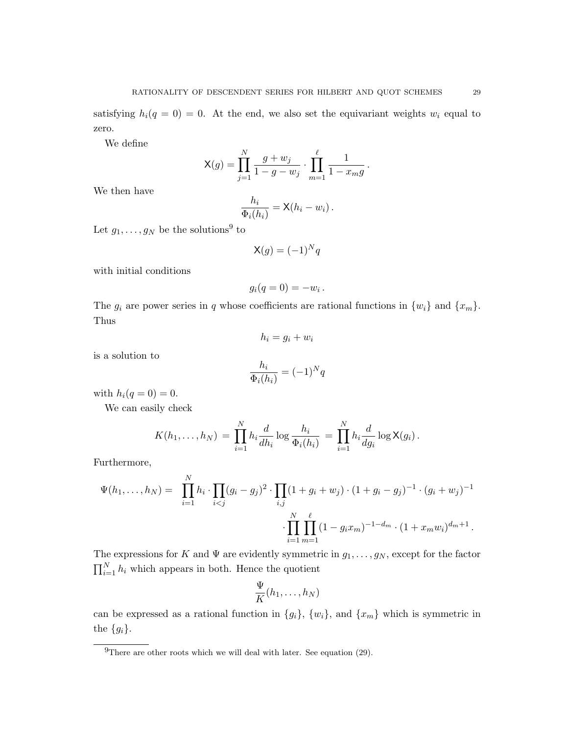satisfying  $h_i(q = 0) = 0$ . At the end, we also set the equivariant weights  $w_i$  equal to zero.

We define

$$
\mathsf{X}(g) = \prod_{j=1}^{N} \frac{g + w_j}{1 - g - w_j} \cdot \prod_{m=1}^{\ell} \frac{1}{1 - x_m g}.
$$

We then have

$$
\frac{h_i}{\Phi_i(h_i)} = \mathsf{X}(h_i - w_i) \, .
$$

Let  $g_1, \ldots, g_N$  be the solutions<sup>9</sup> to

$$
\mathsf{X}(g) = (-1)^N q
$$

with initial conditions

$$
g_i(q=0)=-w_i.
$$

The  $g_i$  are power series in q whose coefficients are rational functions in  $\{w_i\}$  and  $\{x_m\}$ . Thus

$$
h_i = g_i + w_i
$$

is a solution to

$$
\frac{h_i}{\Phi_i(h_i)} = (-1)^N q
$$

with  $h_i(q = 0) = 0$ .

We can easily check

$$
K(h_1, ..., h_N) = \prod_{i=1}^{N} h_i \frac{d}{dh_i} \log \frac{h_i}{\Phi_i(h_i)} = \prod_{i=1}^{N} h_i \frac{d}{dg_i} \log \mathsf{X}(g_i).
$$

Furthermore,

$$
\Psi(h_1,\ldots,h_N) = \prod_{i=1}^N h_i \cdot \prod_{i
$$
\cdot \prod_{i=1}^N \prod_{m=1}^\ell (1 - g_i x_m)^{-1 - d_m} \cdot (1 + x_m w_i)^{d_m + 1}.
$$
$$

The expressions for K and  $\Psi$  are evidently symmetric in  $g_1, \ldots, g_N$ , except for the factor  $\prod_{i=1}^{N} h_i$  which appears in both. Hence the quotient

$$
\frac{\Psi}{K}(h_1,\ldots,h_N)
$$

can be expressed as a rational function in  $\{g_i\}$ ,  $\{w_i\}$ , and  $\{x_m\}$  which is symmetric in the  ${g_i}$ .

 $^{9}$ There are other roots which we will deal with later. See equation (29).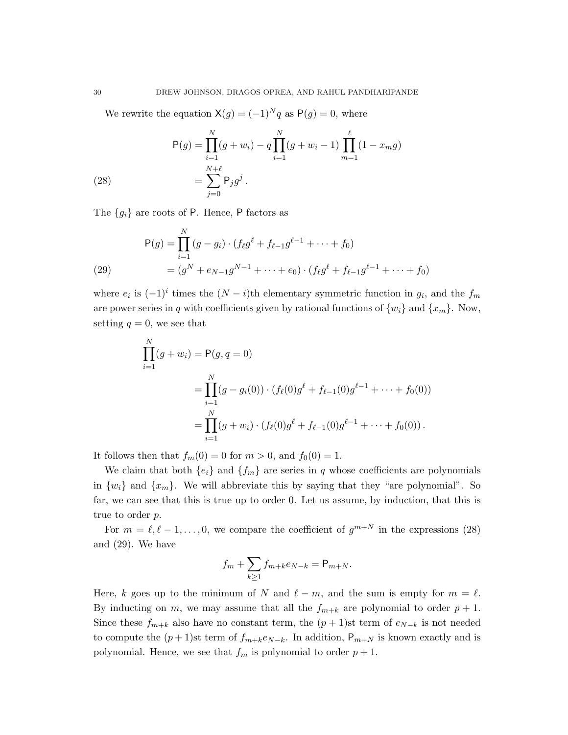We rewrite the equation  $X(g) = (-1)^N q$  as  $P(g) = 0$ , where

(28) 
$$
P(g) = \prod_{i=1}^{N} (g + w_i) - q \prod_{i=1}^{N} (g + w_i - 1) \prod_{m=1}^{\ell} (1 - x_m g)
$$

$$
= \sum_{j=0}^{N+\ell} P_j g^j.
$$

The  ${g_i}$  are roots of P. Hence, P factors as

(29) 
$$
P(g) = \prod_{i=1}^{N} (g - g_i) \cdot (f_{\ell}g^{\ell} + f_{\ell-1}g^{\ell-1} + \dots + f_0)
$$

$$
= (g^N + e_{N-1}g^{N-1} + \dots + e_0) \cdot (f_{\ell}g^{\ell} + f_{\ell-1}g^{\ell-1} + \dots + f_0)
$$

where  $e_i$  is  $(-1)^i$  times the  $(N-i)$ <sup>th</sup> elementary symmetric function in  $g_i$ , and the  $f_m$ are power series in q with coefficients given by rational functions of  $\{w_i\}$  and  $\{x_m\}$ . Now, setting  $q = 0$ , we see that

$$
\prod_{i=1}^{N} (g + w_i) = P(g, q = 0)
$$
\n
$$
= \prod_{i=1}^{N} (g - g_i(0)) \cdot (f_{\ell}(0)g^{\ell} + f_{\ell-1}(0)g^{\ell-1} + \dots + f_0(0))
$$
\n
$$
= \prod_{i=1}^{N} (g + w_i) \cdot (f_{\ell}(0)g^{\ell} + f_{\ell-1}(0)g^{\ell-1} + \dots + f_0(0)).
$$

It follows then that  $f_m(0) = 0$  for  $m > 0$ , and  $f_0(0) = 1$ .

We claim that both  $\{e_i\}$  and  $\{f_m\}$  are series in q whose coefficients are polynomials in  $\{w_i\}$  and  $\{x_m\}$ . We will abbreviate this by saying that they "are polynomial". So far, we can see that this is true up to order 0. Let us assume, by induction, that this is true to order p.

For  $m = \ell, \ell - 1, \ldots, 0$ , we compare the coefficient of  $g^{m+N}$  in the expressions (28) and (29). We have

$$
f_m + \sum_{k \ge 1} f_{m+k} e_{N-k} = \mathsf{P}_{m+N}.
$$

Here, k goes up to the minimum of N and  $\ell - m$ , and the sum is empty for  $m = \ell$ . By inducting on m, we may assume that all the  $f_{m+k}$  are polynomial to order  $p + 1$ . Since these  $f_{m+k}$  also have no constant term, the  $(p+1)$ st term of  $e_{N-k}$  is not needed to compute the  $(p+1)$ st term of  $f_{m+k}e_{N-k}$ . In addition,  $P_{m+N}$  is known exactly and is polynomial. Hence, we see that  $f_m$  is polynomial to order  $p + 1$ .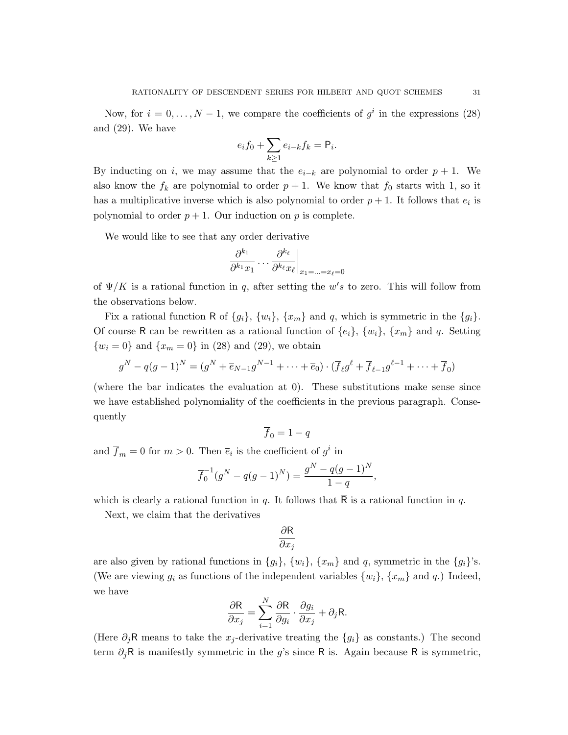$$
e_i f_0 + \sum_{k \ge 1} e_{i-k} f_k = \mathsf{P}_i.
$$

By inducting on i, we may assume that the  $e_{i-k}$  are polynomial to order  $p + 1$ . We also know the  $f_k$  are polynomial to order  $p + 1$ . We know that  $f_0$  starts with 1, so it has a multiplicative inverse which is also polynomial to order  $p + 1$ . It follows that  $e_i$  is polynomial to order  $p + 1$ . Our induction on p is complete.

We would like to see that any order derivative

$$
\left. \frac{\partial^{k_1}}{\partial^{k_1} x_1} \dots \frac{\partial^{k_\ell}}{\partial^{k_\ell} x_\ell} \right|_{x_1 = \dots = x_\ell = 0}
$$

of  $\Psi/K$  is a rational function in q, after setting the w's to zero. This will follow from the observations below.

Fix a rational function R of  $\{g_i\}$ ,  $\{w_i\}$ ,  $\{x_m\}$  and q, which is symmetric in the  $\{g_i\}$ . Of course R can be rewritten as a rational function of  $\{e_i\}$ ,  $\{w_i\}$ ,  $\{x_m\}$  and q. Setting  $\{w_i = 0\}$  and  $\{x_m = 0\}$  in (28) and (29), we obtain

$$
g^{N} - q(g-1)^{N} = (g^{N} + \overline{e}_{N-1}g^{N-1} + \dots + \overline{e}_{0}) \cdot (\overline{f}_{\ell}g^{\ell} + \overline{f}_{\ell-1}g^{\ell-1} + \dots + \overline{f}_{0})
$$

(where the bar indicates the evaluation at  $0$ ). These substitutions make sense since we have established polynomiality of the coefficients in the previous paragraph. Consequently

$$
\overline{f}_0 = 1 - q
$$

and  $\overline{f}_m = 0$  for  $m > 0$ . Then  $\overline{e}_i$  is the coefficient of  $g^i$  in

$$
\overline{f}_0^{-1}(g^N - q(g-1)^N) = \frac{g^N - q(g-1)^N}{1-q},
$$

which is clearly a rational function in q. It follows that  $\overline{R}$  is a rational function in q.

Next, we claim that the derivatives

$$
\frac{\partial \mathsf{R}}{\partial x_j}
$$

are also given by rational functions in  $\{g_i\}$ ,  $\{w_i\}$ ,  $\{x_m\}$  and q, symmetric in the  $\{g_i\}'$ s. (We are viewing  $g_i$  as functions of the independent variables  $\{w_i\}$ ,  $\{x_m\}$  and  $q_i$ ) Indeed, we have

$$
\frac{\partial \mathsf{R}}{\partial x_j} = \sum_{i=1}^N \frac{\partial \mathsf{R}}{\partial g_i} \cdot \frac{\partial g_i}{\partial x_j} + \partial_j \mathsf{R}.
$$

(Here  $\partial_j$ R means to take the  $x_j$ -derivative treating the  $\{g_i\}$  as constants.) The second term  $\partial_j$ R is manifestly symmetric in the g's since R is. Again because R is symmetric,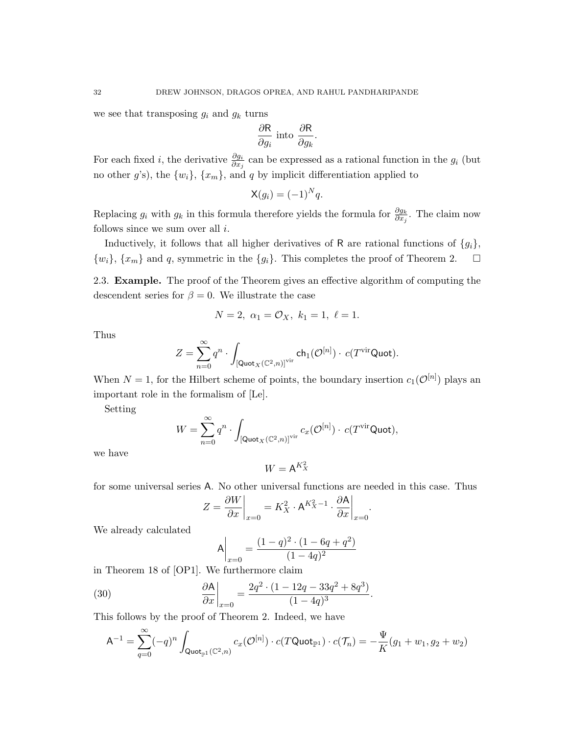we see that transposing  $g_i$  and  $g_k$  turns

$$
\frac{\partial \mathsf{R}}{\partial g_i} \text{ into } \frac{\partial \mathsf{R}}{\partial g_k}.
$$

For each fixed *i*, the derivative  $\frac{\partial g_i}{\partial x_j}$  can be expressed as a rational function in the  $g_i$  (but no other g's), the  $\{w_i\}$ ,  $\{x_m\}$ , and q by implicit differentiation applied to

$$
\mathsf{X}(g_i) = (-1)^N q.
$$

Replacing  $g_i$  with  $g_k$  in this formula therefore yields the formula for  $\frac{\partial g_k}{\partial x_j}$ . The claim now follows since we sum over all  $i$ .

Inductively, it follows that all higher derivatives of R are rational functions of  $\{g_i\}$ ,  $\{w_i\}, \{x_m\}$  and q, symmetric in the  $\{g_i\}$ . This completes the proof of Theorem 2.  $\Box$ 

2.3. Example. The proof of the Theorem gives an effective algorithm of computing the descendent series for  $\beta = 0$ . We illustrate the case

$$
N = 2, \ \alpha_1 = \mathcal{O}_X, \ k_1 = 1, \ \ell = 1.
$$

Thus

$$
Z = \sum_{n=0}^\infty q^n \cdot \int_{\left[\mathsf {Quot}_X(\mathbb C^2, n)\right]^{\operatorname{vir}}} \operatorname{ch}_1(\mathcal O^{[n]}) \cdot \, c(T^{\operatorname{vir}} \mathsf {Quot}).
$$

When  $N = 1$ , for the Hilbert scheme of points, the boundary insertion  $c_1(\mathcal{O}^{[n]})$  plays an important role in the formalism of [Le].

Setting

$$
W = \sum_{n=0}^\infty q^n \cdot \int_{\left[\mathsf {Quot}_X(\mathbb C^2, n)\right]^{\text{vir}}} c_x(\mathcal O^{[n]}) \cdot \, c(T^{\text{vir}} \mathsf {Quot}),
$$

we have

$$
W = \mathsf{A}^{K_X^2}
$$

for some universal series A. No other universal functions are needed in this case. Thus

$$
Z = \frac{\partial W}{\partial x}\bigg|_{x=0} = K_X^2 \cdot \mathsf{A}^{K_X^2 - 1} \cdot \frac{\partial \mathsf{A}}{\partial x}\bigg|_{x=0}.
$$

We already calculated

$$
\mathsf{A}\bigg|_{x=0} = \frac{(1-q)^2 \cdot (1-6q+q^2)}{(1-4q)^2}
$$

in Theorem 18 of [OP1]. We furthermore claim

(30) 
$$
\left. \frac{\partial \mathsf{A}}{\partial x} \right|_{x=0} = \frac{2q^2 \cdot (1 - 12q - 33q^2 + 8q^3)}{(1 - 4q)^3}.
$$

This follows by the proof of Theorem 2. Indeed, we have

$$
\mathsf{A}^{-1}=\sum_{q=0}^\infty (-q)^n\int_{\mathsf{Quot}_{{\mathbb P}^1}({\mathbb C}^2,n)}c_x(\mathcal{O}^{[n]})\cdot c(T\mathsf{Quot}_{{\mathbb P}^1})\cdot c(\mathcal{T}_n)=-\frac{\Psi}{K}(g_1+w_1,g_2+w_2)
$$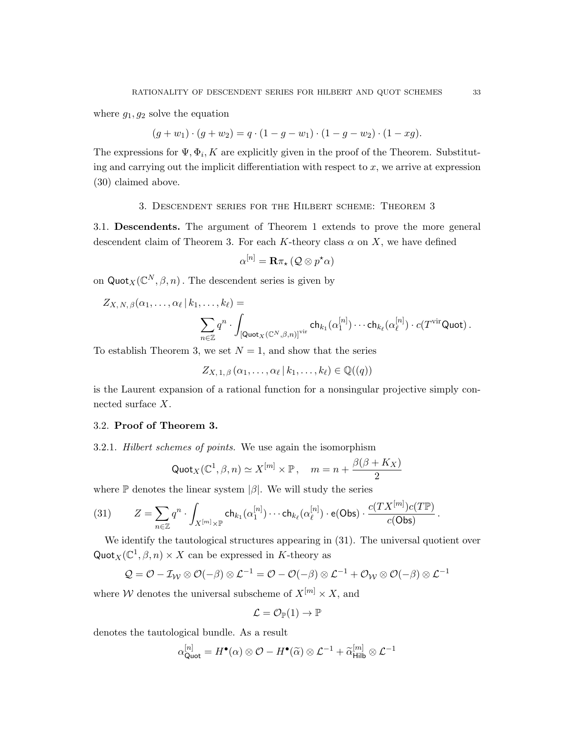where  $g_1, g_2$  solve the equation

$$
(g + w1) \cdot (g + w2) = q \cdot (1 - g - w1) \cdot (1 - g - w2) \cdot (1 - xg).
$$

The expressions for  $\Psi$ ,  $\Phi$ <sub>i</sub>, K are explicitly given in the proof of the Theorem. Substituting and carrying out the implicit differentiation with respect to  $x$ , we arrive at expression (30) claimed above.

#### 3. Descendent series for the Hilbert scheme: Theorem 3

3.1. Descendents. The argument of Theorem 1 extends to prove the more general descendent claim of Theorem 3. For each K-theory class  $\alpha$  on X, we have defined

$$
\alpha^{[n]} = \mathbf{R} \pi_{\star} \left( \mathcal{Q} \otimes p^{\star} \alpha \right)
$$

on  $\text{Quot}_X(\mathbb{C}^N, \beta, n)$ . The descendent series is given by

$$
Z_{X, N, \beta}(\alpha_1, \ldots, \alpha_\ell \,|\, k_1, \ldots, k_\ell) = \sum_{n \in \mathbb{Z}} q^n \cdot \int_{\left[ \mathsf{Quot}_X(\mathbb{C}^N, \beta, n) \right]^{\text{vir}}} \mathsf{ch}_{k_1}(\alpha_1^{[n]}) \cdots \mathsf{ch}_{k_\ell}(\alpha_\ell^{[n]}) \cdot c(T^{\text{vir}} \mathsf{Quot}).
$$

To establish Theorem 3, we set  $N = 1$ , and show that the series

$$
Z_{X,1,\beta}(\alpha_1,\ldots,\alpha_\ell\,|\,k_1,\ldots,k_\ell)\in\mathbb{Q}((q))
$$

is the Laurent expansion of a rational function for a nonsingular projective simply connected surface X.

### 3.2. Proof of Theorem 3.

3.2.1. Hilbert schemes of points. We use again the isomorphism

$$
\text{Quot}_X(\mathbb{C}^1, \beta, n) \simeq X^{[m]} \times \mathbb{P}, \quad m = n + \frac{\beta(\beta + K_X)}{2}
$$

where  $\mathbb P$  denotes the linear system  $|\beta|$ . We will study the series

(31) 
$$
Z = \sum_{n \in \mathbb{Z}} q^n \cdot \int_{X^{[m]} \times \mathbb{P}} \text{ch}_{k_1}(\alpha_1^{[n]}) \cdots \text{ch}_{k_\ell}(\alpha_\ell^{[n]}) \cdot \text{e}(\text{Obs}) \cdot \frac{c(TX^{[m]})c(T\mathbb{P})}{c(\text{Obs})}.
$$

We identify the tautological structures appearing in (31). The universal quotient over Quot<sub>X</sub>( $\mathbb{C}^1$ ,  $\beta$ , n) × X can be expressed in K-theory as

$$
Q = \mathcal{O} - \mathcal{I}_{\mathcal{W}} \otimes \mathcal{O}(-\beta) \otimes \mathcal{L}^{-1} = \mathcal{O} - \mathcal{O}(-\beta) \otimes \mathcal{L}^{-1} + \mathcal{O}_{\mathcal{W}} \otimes \mathcal{O}(-\beta) \otimes \mathcal{L}^{-1}
$$

where W denotes the universal subscheme of  $X^{[m]} \times X$ , and

$$
\mathcal{L} = \mathcal{O}_{\mathbb{P}}(1) \to \mathbb{P}
$$

denotes the tautological bundle. As a result

$$
\alpha_{\text{Quot}}^{[n]} = H^{\bullet}(\alpha) \otimes \mathcal{O} - H^{\bullet}(\widetilde{\alpha}) \otimes \mathcal{L}^{-1} + \widetilde{\alpha}_{\text{Hilb}}^{[m]} \otimes \mathcal{L}^{-1}
$$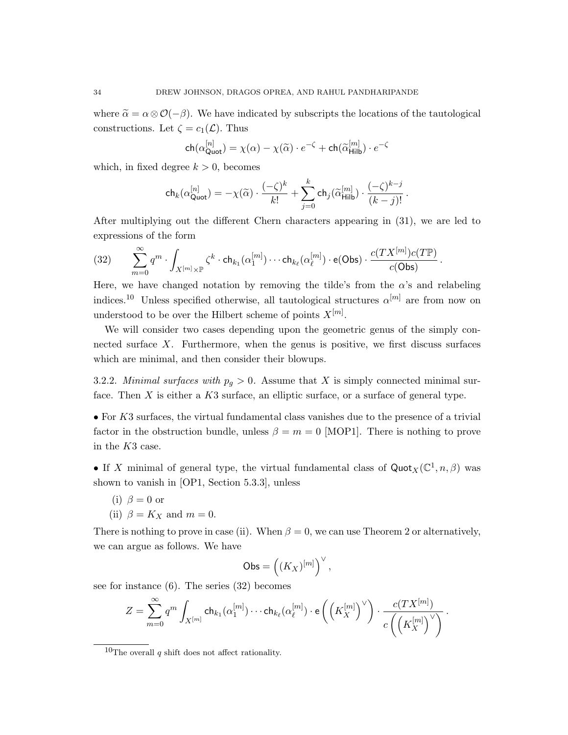where  $\tilde{\alpha} = \alpha \otimes \mathcal{O}(-\beta)$ . We have indicated by subscripts the locations of the tautological constructions. Let  $\zeta = c_1(\mathcal{L})$ . Thus

$$
\mathsf{ch}(\alpha_{\mathsf{Quot}}^{[n]}) = \chi(\alpha) - \chi(\widetilde{\alpha}) \cdot e^{-\zeta} + \mathsf{ch}(\widetilde{\alpha}_{\mathsf{Hilb}}^{[m]}) \cdot e^{-\zeta}
$$

which, in fixed degree  $k > 0$ , becomes

$$
\mathsf{ch}_k(\alpha_{\mathsf{Quot}}^{[n]}) = -\chi(\widetilde{\alpha}) \cdot \frac{(-\zeta)^k}{k!} + \sum_{j=0}^k \mathsf{ch}_j(\widetilde{\alpha}_{\mathsf{Hilb}}^{[m]}) \cdot \frac{(-\zeta)^{k-j}}{(k-j)!} \, .
$$

After multiplying out the different Chern characters appearing in (31), we are led to expressions of the form

$$
(32) \qquad \sum_{m=0}^{\infty} q^m \cdot \int_{X^{[m]}\times \mathbb{P}} \zeta^k \cdot \mathsf{ch}_{k_1}(\alpha_1^{[m]}) \cdots \mathsf{ch}_{k_\ell}(\alpha_\ell^{[m]}) \cdot \mathsf{e}(\mathsf{Obs}) \cdot \frac{c(TX^{[m]})c(T\mathbb{P})}{c(\mathsf{Obs})}\,.
$$

Here, we have changed notation by removing the tilde's from the  $\alpha$ 's and relabeling indices.<sup>10</sup> Unless specified otherwise, all tautological structures  $\alpha^{[m]}$  are from now on understood to be over the Hilbert scheme of points  $X^{[m]}$ .

We will consider two cases depending upon the geometric genus of the simply connected surface  $X$ . Furthermore, when the genus is positive, we first discuss surfaces which are minimal, and then consider their blowups.

3.2.2. *Minimal surfaces with*  $p_g > 0$ . Assume that X is simply connected minimal surface. Then  $X$  is either a  $K3$  surface, an elliptic surface, or a surface of general type.

• For K3 surfaces, the virtual fundamental class vanishes due to the presence of a trivial factor in the obstruction bundle, unless  $\beta = m = 0$  [MOP1]. There is nothing to prove in the K3 case.

• If X minimal of general type, the virtual fundamental class of  $\text{Quot}_X(\mathbb{C}^1, n, \beta)$  was shown to vanish in [OP1, Section 5.3.3], unless

- (i)  $\beta = 0$  or
- (ii)  $\beta = K_X$  and  $m = 0$ .

There is nothing to prove in case (ii). When  $\beta = 0$ , we can use Theorem 2 or alternatively, we can argue as follows. We have

$$
\mathsf{Obs} = \left( (K_X)^{[m]} \right)^\vee,
$$

see for instance (6). The series (32) becomes

$$
Z=\sum_{m=0}^\infty q^m\int_{X^{[m]}}\mathsf {ch}_{k_1}(\alpha_1^{[m]})\cdots \mathsf{ch}_{k_\ell}(\alpha_\ell^{[m]})\cdot \mathsf e\left(\left(K_X^{[m]}\right)^{\vee}\right)\cdot \frac{c(TX^{[m]})}{c\left(\left(K_X^{[m]}\right)^{\vee}\right)}\,.
$$

 $10$ The overall q shift does not affect rationality.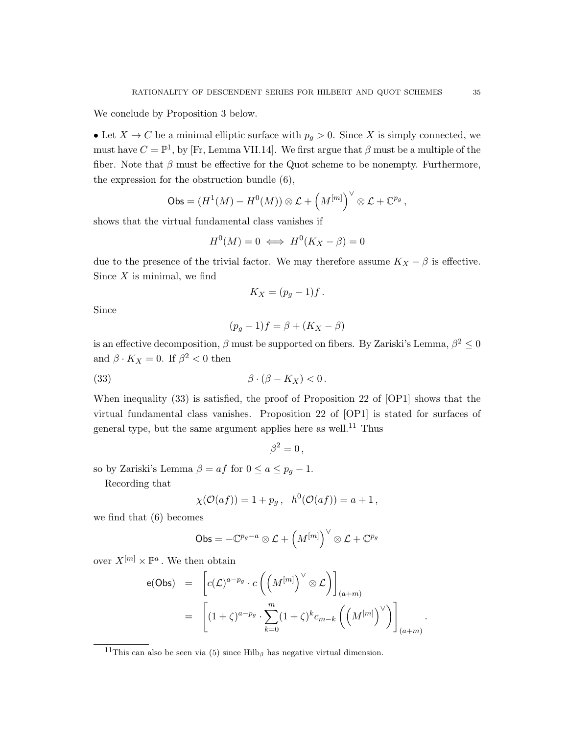We conclude by Proposition 3 below.

• Let  $X \to C$  be a minimal elliptic surface with  $p_g > 0$ . Since X is simply connected, we must have  $C = \mathbb{P}^1$ , by [Fr, Lemma VII.14]. We first argue that  $\beta$  must be a multiple of the fiber. Note that  $\beta$  must be effective for the Quot scheme to be nonempty. Furthermore, the expression for the obstruction bundle (6),

$$
\mathsf{Obs} = (H^1(M) - H^0(M)) \otimes \mathcal{L} + \left(M^{[m]}\right)^{\vee} \otimes \mathcal{L} + \mathbb{C}^{p_g},
$$

shows that the virtual fundamental class vanishes if

$$
H^0(M) = 0 \iff H^0(K_X - \beta) = 0
$$

due to the presence of the trivial factor. We may therefore assume  $K_X - \beta$  is effective. Since  $X$  is minimal, we find

$$
K_X = (p_g - 1)f.
$$

Since

$$
(p_g - 1)f = \beta + (K_X - \beta)
$$

is an effective decomposition,  $\beta$  must be supported on fibers. By Zariski's Lemma,  $\beta^2 \leq 0$ and  $\beta \cdot K_X = 0$ . If  $\beta^2 < 0$  then

(33) 
$$
\beta \cdot (\beta - K_X) < 0.
$$

When inequality (33) is satisfied, the proof of Proposition 22 of [OP1] shows that the virtual fundamental class vanishes. Proposition 22 of [OP1] is stated for surfaces of general type, but the same argument applies here as well.<sup>11</sup> Thus

$$
\beta^2=0\,,
$$

so by Zariski's Lemma  $\beta = af$  for  $0 \le a \le p_q - 1$ .

Recording that

$$
\chi(\mathcal{O}(af)) = 1 + p_g, \quad h^0(\mathcal{O}(af)) = a + 1,
$$

we find that (6) becomes

$$
\mathsf{Obs}=-\mathbb{C}^{p_g-a}\otimes\mathcal{L}+\left(M^{[m]}\right)^\vee\otimes\mathcal{L}+\mathbb{C}^{p_g}
$$

over  $X^{[m]} \times \mathbb{P}^a$ . We then obtain

$$
\begin{array}{rcl}\n\mathsf{e}(\mathsf{Obs}) & = & \left[ c(\mathcal{L})^{a-p_g} \cdot c \left( \left( M^{[m]} \right)^{\vee} \otimes \mathcal{L} \right) \right]_{(a+m)} \\
& = & \left[ (1+\zeta)^{a-p_g} \cdot \sum_{k=0}^{m} (1+\zeta)^k c_{m-k} \left( \left( M^{[m]} \right)^{\vee} \right) \right]_{(a+m)}.\n\end{array}
$$

<sup>&</sup>lt;sup>11</sup>This can also be seen via (5) since Hilb<sub>β</sub> has negative virtual dimension.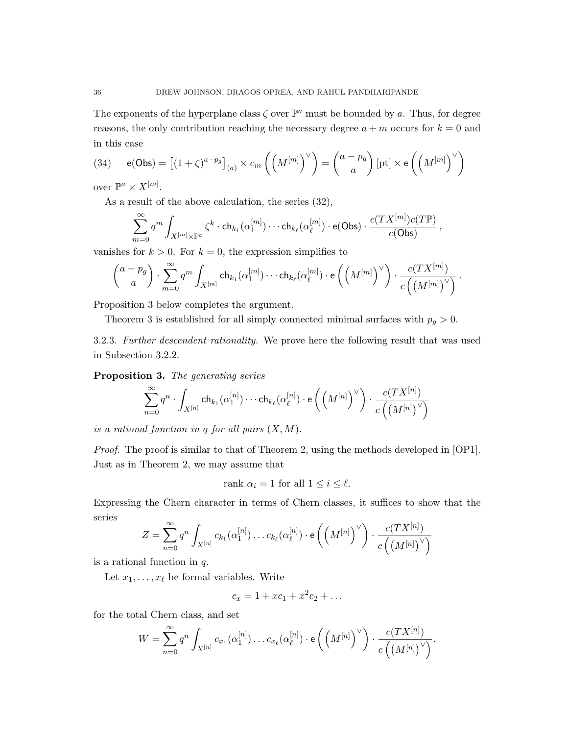The exponents of the hyperplane class  $\zeta$  over  $\mathbb{P}^a$  must be bounded by a. Thus, for degree reasons, the only contribution reaching the necessary degree  $a + m$  occurs for  $k = 0$  and in this case

(34) 
$$
e(\text{Obs}) = \left[ (1+\zeta)^{a-p_g} \right]_{(a)} \times c_m \left( \left( M^{[m]} \right)^{\vee} \right) = \begin{pmatrix} a-p_g \\ a \end{pmatrix} [pt] \times e \left( \left( M^{[m]} \right)^{\vee} \right)
$$

over  $\mathbb{P}^a \times X^{[m]}$ .

As a result of the above calculation, the series (32),

$$
\sum_{m=0}^{\infty} q^m \int_{X^{[m]} \times \mathbb{P}^a} \zeta^k \cdot \mathsf{ch}_{k_1}(\alpha_1^{[m]}) \cdots \mathsf{ch}_{k_\ell}(\alpha_\ell^{[m]}) \cdot \mathsf{e}(\mathsf{Obs}) \cdot \frac{c(TX^{[m]}) c(T\mathbb{P})}{c(\mathsf{Obs})},
$$

vanishes for  $k > 0$ . For  $k = 0$ , the expression simplifies to

$$
\binom{a-p_g}{a}\cdot \sum_{m=0}^\infty q^m \int_{X^{[m]}} \mathsf {ch}_{k_1}(\alpha_1^{[m]})\cdots \mathsf{ch}_{k_\ell}(\alpha_\ell^{[m]})\cdot \mathsf e\left(\left(M^{[m]}\right)^{\vee}\right)\cdot \frac{c(TX^{[m]})}{c\left(\left(M^{[m]}\right)^{\vee}\right)}\,.
$$

Proposition 3 below completes the argument.

Theorem 3 is established for all simply connected minimal surfaces with  $p_g > 0$ .

3.2.3. Further descendent rationality. We prove here the following result that was used in Subsection 3.2.2.

Proposition 3. The generating series

$$
\sum_{n=0}^{\infty} q^n \cdot \int_{X^{[n]}} \mathrm{ch}_{k_1}(\alpha_1^{[n]}) \cdots \mathrm{ch}_{k_{\ell}}(\alpha_{\ell}^{[n]}) \cdot \mathrm{e}\left(\left(M^{[n]}\right)^{\vee}\right) \cdot \frac{c(TX^{[n]})}{c\left(\left(M^{[n]}\right)^{\vee}\right)}
$$

is a rational function in q for all pairs  $(X, M)$ .

Proof. The proof is similar to that of Theorem 2, using the methods developed in [OP1]. Just as in Theorem 2, we may assume that

rank  $\alpha_i = 1$  for all  $1 \leq i \leq \ell$ .

Expressing the Chern character in terms of Chern classes, it suffices to show that the series

$$
Z=\sum_{n=0}^\infty q^n\int_{X^{[n]}}c_{k_1}(\alpha_1^{[n]})\ldots c_{k_\ell}(\alpha_\ell^{[n]})\cdot \mathsf e\left(\left(M^{[n]}\right)^{\vee}\right)\cdot \frac{c(TX^{[n]})}{c\left(\left(M^{[n]}\right)^{\vee}\right)}
$$

is a rational function in q.

Let  $x_1, \ldots, x_\ell$  be formal variables. Write

$$
c_x = 1 + xc_1 + x^2c_2 + \dots
$$

for the total Chern class, and set

$$
W = \sum_{n=0}^{\infty} q^n \int_{X^{[n]}} c_{x_1}(\alpha_1^{[n]}) \dots c_{x_\ell}(\alpha_\ell^{[n]}) \cdot \mathsf{e}\left(\left(M^{[n]}\right)^{\vee}\right) \cdot \frac{c(TX^{[n]})}{c\left(\left(M^{[n]}\right)^{\vee}\right)}.
$$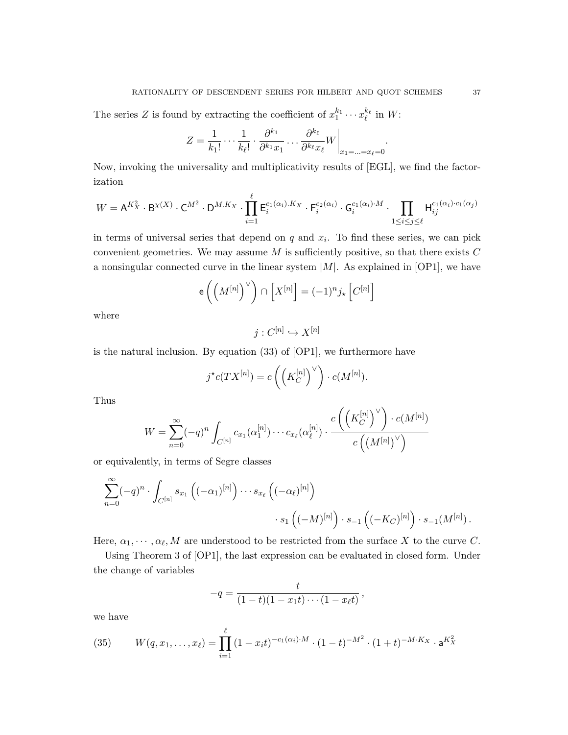The series Z is found by extracting the coefficient of  $x_1^{k_1} \cdots x_\ell^{k_\ell}$  in W:

$$
Z = \frac{1}{k_1!} \cdots \frac{1}{k_\ell!} \cdot \frac{\partial^{k_1}}{\partial^{k_1} x_1} \cdots \frac{\partial^{k_\ell}}{\partial^{k_\ell} x_\ell} W \bigg|_{x_1 = \ldots = x_\ell = 0}.
$$

Now, invoking the universality and multiplicativity results of [EGL], we find the factorization

$$
W = \mathsf{A}^{K_X^2} \cdot \mathsf{B}^{\chi(X)} \cdot \mathsf{C}^{M^2} \cdot \mathsf{D}^{M.K_X} \cdot \prod_{i=1}^\ell \mathsf{E}_i^{c_1(\alpha_i).K_X} \cdot \mathsf{F}_i^{c_2(\alpha_i)} \cdot \mathsf{G}_i^{c_1(\alpha_i)\cdot M} \cdot \prod_{1 \le i \le j \le \ell} \mathsf{H}_{ij}^{c_1(\alpha_i)\cdot c_1(\alpha_j)}
$$

in terms of universal series that depend on  $q$  and  $x_i$ . To find these series, we can pick convenient geometries. We may assume  $M$  is sufficiently positive, so that there exists  $C$ a nonsingular connected curve in the linear system  $|M|$ . As explained in [OP1], we have

$$
e\left(\left(M^{[n]}\right)^{\vee}\right) \cap \left[X^{[n]}\right] = (-1)^n j_{\star} \left[C^{[n]}\right]
$$

where

 $j: C^{[n]} \hookrightarrow X^{[n]}$ 

is the natural inclusion. By equation (33) of [OP1], we furthermore have

$$
j^{\star}c(TX^{[n]}) = c\left(\left(K_C^{[n]}\right)^{\vee}\right) \cdot c(M^{[n]}).
$$

Thus

$$
W = \sum_{n=0}^{\infty} (-q)^n \int_{C^{[n]}} c_{x_1}(\alpha_1^{[n]}) \cdots c_{x_{\ell}}(\alpha_{\ell}^{[n]}) \cdot \frac{c\left(\left(K_C^{[n]}\right)^{\vee}\right) \cdot c(M^{[n]})}{c\left(\left(M^{[n]}\right)^{\vee}\right)}
$$

or equivalently, in terms of Segre classes

$$
\sum_{n=0}^{\infty} (-q)^n \cdot \int_{C^{[n]}} s_{x_1} ((-\alpha_1)^{[n]}) \cdots s_{x_{\ell}} ((-\alpha_{\ell})^{[n]}) \cdot s_{-1} ((-K_C)^{[n]}) \cdot s_{-1}(M^{[n]}).
$$

Here,  $\alpha_1, \dots, \alpha_\ell, M$  are understood to be restricted from the surface X to the curve C.

Using Theorem 3 of [OP1], the last expression can be evaluated in closed form. Under the change of variables

$$
-q = \frac{t}{(1-t)(1-x_1t)\cdots(1-x_{\ell}t)},
$$

we have

(35) 
$$
W(q, x_1, ..., x_\ell) = \prod_{i=1}^{\ell} (1 - x_i t)^{-c_1(\alpha_i) \cdot M} \cdot (1 - t)^{-M^2} \cdot (1 + t)^{-M \cdot K_X} \cdot \mathbf{a}^{K_X^2}
$$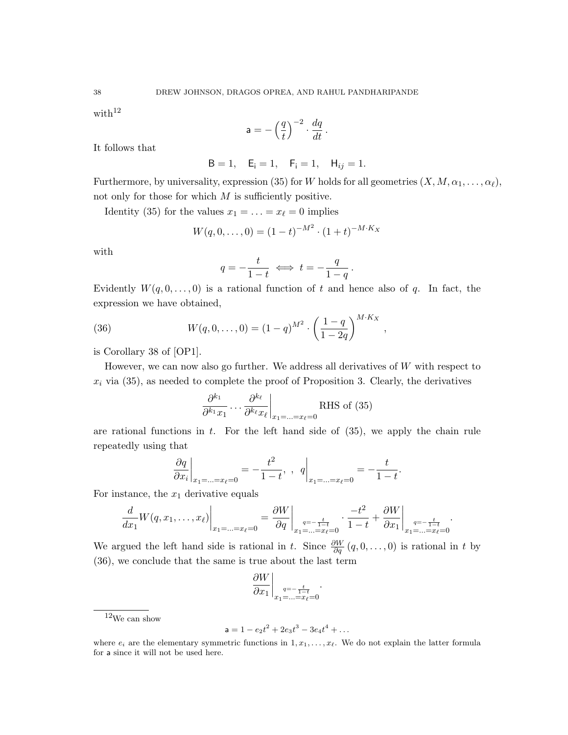with $12$ 

$$
\mathsf{a} = -\left(\frac{q}{t}\right)^{-2} \cdot \frac{dq}{dt} \,.
$$

It follows that

$$
B = 1
$$
,  $E_i = 1$ ,  $F_i = 1$ ,  $H_{ij} = 1$ .

Furthermore, by universality, expression (35) for W holds for all geometries  $(X, M, \alpha_1, \ldots, \alpha_\ell)$ , not only for those for which  $M$  is sufficiently positive.

Identity (35) for the values  $x_1 = \ldots = x_\ell = 0$  implies

$$
W(q,0,\ldots,0) = (1-t)^{-M^2} \cdot (1+t)^{-M \cdot K_X}
$$

with

$$
q = -\frac{t}{1-t} \iff t = -\frac{q}{1-q}.
$$

Evidently  $W(q, 0, \ldots, 0)$  is a rational function of t and hence also of q. In fact, the expression we have obtained,

(36) 
$$
W(q,0,\ldots,0) = (1-q)^{M^2} \cdot \left(\frac{1-q}{1-2q}\right)^{M\cdot K_X},
$$

is Corollary 38 of [OP1].

However, we can now also go further. We address all derivatives of W with respect to  $x_i$  via (35), as needed to complete the proof of Proposition 3. Clearly, the derivatives

$$
\frac{\partial^{k_1}}{\partial^{k_1} x_1} \dots \frac{\partial^{k_\ell}}{\partial^{k_\ell} x_\ell} \bigg|_{x_1 = \dots = x_\ell = 0} \text{RHS of (35)}
$$

are rational functions in  $t$ . For the left hand side of  $(35)$ , we apply the chain rule repeatedly using that

$$
\left. \frac{\partial q}{\partial x_i} \right|_{x_1 = \dots = x_\ell = 0} = -\frac{t^2}{1 - t}, \quad q \bigg|_{x_1 = \dots = x_\ell = 0} = -\frac{t}{1 - t}.
$$

For instance, the  $x_1$  derivative equals

$$
\frac{d}{dx_1}W(q, x_1, \dots, x_\ell)\Big|_{x_1 = \dots = x_\ell = 0} = \frac{\partial W}{\partial q}\Big|_{\substack{q = -\frac{t}{1 - t} \\ x_1 = \dots = x_\ell = 0}} \cdot \frac{-t^2}{1 - t} + \frac{\partial W}{\partial x_1}\Big|_{\substack{q = -\frac{t}{1 - t} \\ x_1 = \dots = x_\ell = 0}}.
$$

We argued the left hand side is rational in t. Since  $\frac{\partial W}{\partial q}(q,0,\ldots,0)$  is rational in t by (36), we conclude that the same is true about the last term

$$
\left. \frac{\partial W}{\partial x_1} \right|_{x_1 = \ldots = x_\ell = 0} \cdot
$$

 $^{12}\mathrm{We}$  can show

$$
\mathsf{a} = 1 - e_2 t^2 + 2e_3 t^3 - 3e_4 t^4 + \dots
$$

where  $e_i$  are the elementary symmetric functions in  $1, x_1, \ldots, x_\ell$ . We do not explain the latter formula for a since it will not be used here.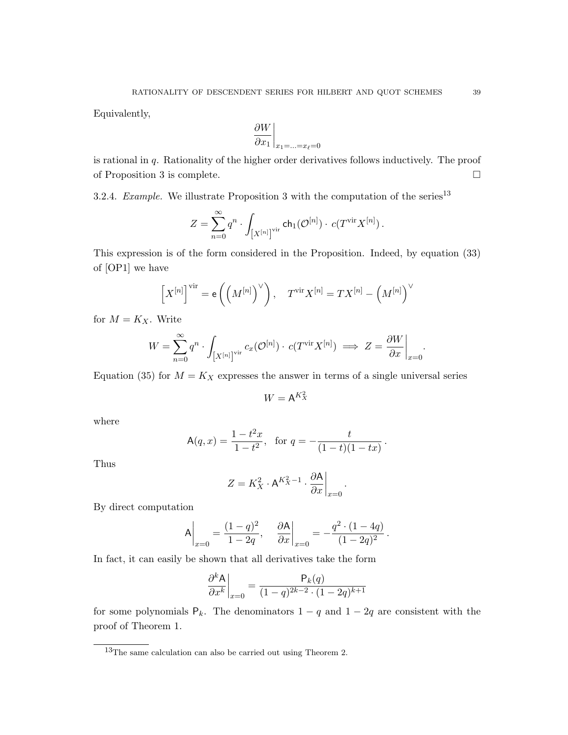Equivalently,

$$
\left.\frac{\partial W}{\partial x_1}\right|_{x_1=\ldots=x_\ell=0}
$$

is rational in  $q$ . Rationality of the higher order derivatives follows inductively. The proof of Proposition 3 is complete.

3.2.4. Example. We illustrate Proposition 3 with the computation of the series<sup>13</sup>

$$
Z=\sum_{n=0}^\infty q^n\cdot\int_{\left[X^{[n]}\right]^{\mathrm{vir}}}\mathsf {ch}_1(\mathcal O^{[n]})\cdot\,c(T^{\mathrm{vir}}X^{[n]})\,.
$$

This expression is of the form considered in the Proposition. Indeed, by equation (33) of [OP1] we have

$$
\left[X^{[n]}\right]^{\text{vir}} = \mathsf{e}\left(\left(M^{[n]}\right)^{\vee}\right), \quad T^{\text{vir}} X^{[n]} = TX^{[n]} - \left(M^{[n]}\right)^{\vee}
$$

for  $M = K_X$ . Write

$$
W = \sum_{n=0}^{\infty} q^n \cdot \int_{[X^{[n]}]^{\text{vir}}} c_x(\mathcal{O}^{[n]}) \cdot c(T^{\text{vir}} X^{[n]}) \implies Z = \frac{\partial W}{\partial x}\Big|_{x=0}.
$$

Equation (35) for  $M = K_X$  expresses the answer in terms of a single universal series

 $W = A^{K_X^2}$ 

where

$$
\mathsf{A}(q,x) = \frac{1 - t^2 x}{1 - t^2}, \quad \text{for } q = -\frac{t}{(1 - t)(1 - tx)}
$$

.

.

Thus

$$
Z = K_X^2 \cdot \mathsf{A}^{K_X^2 - 1} \cdot \frac{\partial \mathsf{A}}{\partial x}\bigg|_{x=0}.
$$

By direct computation

$$
A\bigg|_{x=0} = \frac{(1-q)^2}{1-2q}, \quad \frac{\partial A}{\partial x}\bigg|_{x=0} = -\frac{q^2 \cdot (1-4q)}{(1-2q)^2}
$$

In fact, it can easily be shown that all derivatives take the form

$$
\left. \frac{\partial^k A}{\partial x^k} \right|_{x=0} = \frac{P_k(q)}{(1-q)^{2k-2} \cdot (1-2q)^{k+1}}
$$

for some polynomials  $P_k$ . The denominators  $1 - q$  and  $1 - 2q$  are consistent with the proof of Theorem 1.

<sup>13</sup>The same calculation can also be carried out using Theorem 2.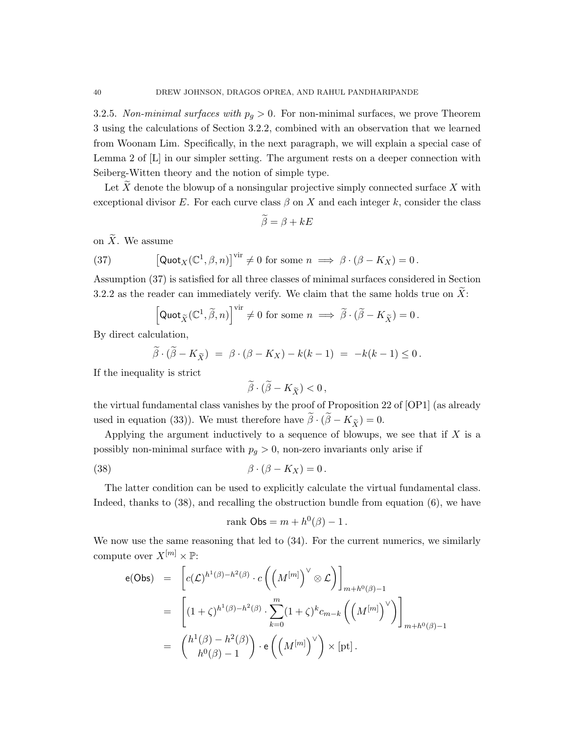3.2.5. Non-minimal surfaces with  $p_q > 0$ . For non-minimal surfaces, we prove Theorem 3 using the calculations of Section 3.2.2, combined with an observation that we learned from Woonam Lim. Specifically, in the next paragraph, we will explain a special case of Lemma 2 of [L] in our simpler setting. The argument rests on a deeper connection with Seiberg-Witten theory and the notion of simple type.

Let  $X$  denote the blowup of a nonsingular projective simply connected surface  $X$  with exceptional divisor E. For each curve class  $\beta$  on X and each integer k, consider the class

$$
\widetilde{\beta} = \beta + kE
$$

on  $\widetilde{X}$ . We assume

(37) 
$$
\left[\text{Quot}_X(\mathbb{C}^1,\beta,n)\right]^{\text{vir}}\neq 0 \text{ for some } n \implies \beta \cdot (\beta - K_X) = 0.
$$

Assumption (37) is satisfied for all three classes of minimal surfaces considered in Section 3.2.2 as the reader can immediately verify. We claim that the same holds true on  $\widetilde{X}$ :

$$
\left[\mathsf {Quot}_{\widetilde X}(\mathbb C^1, \widetilde \beta, n)\right]^{\text{vir}}\neq 0\,\,\text{for some}\,\,n\implies \widetilde \beta\cdot (\widetilde \beta-K_{\widetilde X})=0\,.
$$

By direct calculation,

$$
\widetilde{\beta} \cdot (\widetilde{\beta} - K_{\widetilde{X}}) = \beta \cdot (\beta - K_X) - k(k-1) = -k(k-1) \leq 0.
$$

If the inequality is strict

$$
\widetilde{\beta}\cdot(\widetilde{\beta}-K_{\widetilde{X}})<0\,,
$$

the virtual fundamental class vanishes by the proof of Proposition 22 of [OP1] (as already used in equation (33)). We must therefore have  $\tilde{\beta} \cdot (\tilde{\beta} - K_{\tilde{Y}}) = 0$ .

Applying the argument inductively to a sequence of blowups, we see that if  $X$  is a possibly non-minimal surface with  $p<sub>g</sub> > 0$ , non-zero invariants only arise if

(38) 
$$
\beta \cdot (\beta - K_X) = 0.
$$

The latter condition can be used to explicitly calculate the virtual fundamental class. Indeed, thanks to (38), and recalling the obstruction bundle from equation (6), we have

$$
rank \text{Obs} = m + h^0(\beta) - 1.
$$

We now use the same reasoning that led to (34). For the current numerics, we similarly compute over  $X^{[m]} \times \mathbb{P}$ :

$$
e(\text{Obs}) = \left[ c(\mathcal{L})^{h^1(\beta) - h^2(\beta)} \cdot c\left( \left( M^{[m]} \right)^{\vee} \otimes \mathcal{L} \right) \right]_{m+h^0(\beta) - 1}
$$
  
\n
$$
= \left[ (1 + \zeta)^{h^1(\beta) - h^2(\beta)} \cdot \sum_{k=0}^m (1 + \zeta)^k c_{m-k} \left( \left( M^{[m]} \right)^{\vee} \right) \right]_{m+h^0(\beta) - 1}
$$
  
\n
$$
= \left( \frac{h^1(\beta) - h^2(\beta)}{h^0(\beta) - 1} \right) \cdot e\left( \left( M^{[m]} \right)^{\vee} \right) \times [\text{pt}].
$$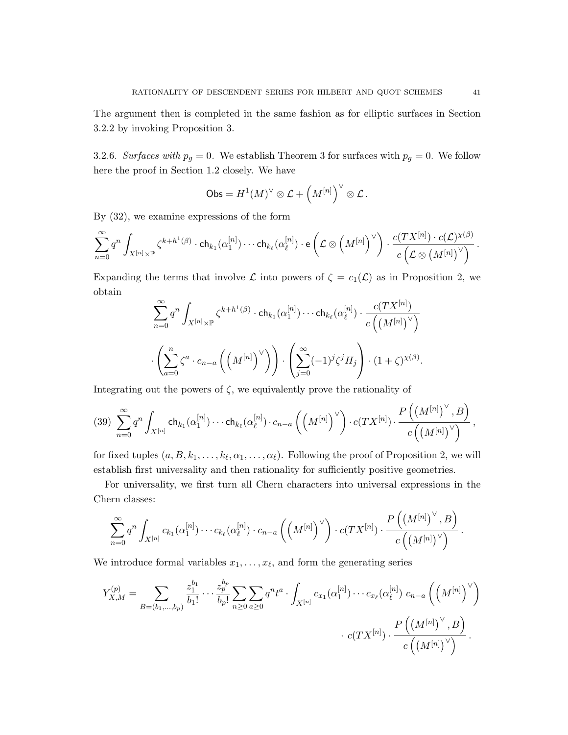The argument then is completed in the same fashion as for elliptic surfaces in Section 3.2.2 by invoking Proposition 3.

3.2.6. Surfaces with  $p_g = 0$ . We establish Theorem 3 for surfaces with  $p_g = 0$ . We follow here the proof in Section 1.2 closely. We have

$$
\mathsf{Obs} = H^1(M)^\vee \otimes \mathcal{L} + \left(M^{[n]}\right)^\vee \otimes \mathcal{L}.
$$

By (32), we examine expressions of the form

$$
\sum_{n=0}^{\infty} q^n \int_{X^{[n]}\times \mathbb{P}} \zeta^{k+h^1(\beta)} \cdot \mathsf{ch}_{k_1}(\alpha_1^{[n]}) \cdots \mathsf{ch}_{k_\ell}(\alpha_\ell^{[n]})\cdot \mathsf{e}\left(\mathcal{L}\otimes \left(M^{[n]}\right)^{\vee}\right) \cdot \frac{c(TX^{[n]}) \cdot c(\mathcal{L})^{\chi(\beta)}}{c\left(\mathcal{L}\otimes \left(M^{[n]}\right)^{\vee}\right)}\,.
$$

Expanding the terms that involve  $\mathcal L$  into powers of  $\zeta = c_1(\mathcal L)$  as in Proposition 2, we obtain

$$
\sum_{n=0}^{\infty} q^n \int_{X^{[n]} \times \mathbb{P}} \zeta^{k+h^1(\beta)} \cdot \mathsf{ch}_{k_1}(\alpha_1^{[n]}) \cdots \mathsf{ch}_{k_\ell}(\alpha_\ell^{[n]}) \cdot \frac{c(TX^{[n]})}{c\left(\left(M^{[n]}\right)^{\vee}\right)} \cdot \left(\sum_{a=0}^n \zeta^a \cdot c_{n-a}\left(\left(M^{[n]}\right)^{\vee}\right)\right) \cdot \left(\sum_{j=0}^{\infty} (-1)^j \zeta^j H_j\right) \cdot (1+\zeta)^{\chi(\beta)}.
$$

Integrating out the powers of  $\zeta$ , we equivalently prove the rationality of

$$
(39)\ \ \sum _{n=0}^{\infty }q^{n}\int_{X^{[n]}}\mathsf {ch}_{k_1} (\alpha_1^{[n]})\cdots \mathsf{ch}_{k_{\ell}} (\alpha_{\ell}^{[n]})\cdot c_{n-a}\left(\left(M^{[n]}\right)^{\vee}\right)\cdot c(TX^{[n]})\cdot \frac{P\left(\left(M^{[n]}\right)^{\vee},B\right)}{c\left(\left(M^{[n]}\right)^{\vee}\right)},
$$

for fixed tuples  $(a, B, k_1, \ldots, k_\ell, \alpha_1, \ldots, \alpha_\ell)$ . Following the proof of Proposition 2, we will establish first universality and then rationality for sufficiently positive geometries.

For universality, we first turn all Chern characters into universal expressions in the Chern classes:

$$
\sum_{n=0}^{\infty} q^n \int_{X^{[n]}} c_{k_1}(\alpha_1^{[n]}) \cdots c_{k_{\ell}}(\alpha_{\ell}^{[n]}) \cdot c_{n-a} \left( \left(M^{[n]}\right)^{\vee}\right) \cdot c(TX^{[n]}) \cdot \frac{P\left(\left(M^{[n]}\right)^{\vee},B\right)}{c\left(\left(M^{[n]}\right)^{\vee}\right)}.
$$

We introduce formal variables  $x_1, \ldots, x_\ell$ , and form the generating series

$$
Y_{X,M}^{(p)} = \sum_{B=(b_1,...,b_p)} \frac{z_1^{b_1}}{b_1!} \cdots \frac{z_p^{b_p}}{b_p!} \sum_{n \ge 0} \sum_{a \ge 0} q^n t^a \cdot \int_{X^{[n]}} c_{x_1}(\alpha_1^{[n]}) \cdots c_{x_\ell}(\alpha_\ell^{[n]}) c_{n-a} \left( \left( M^{[n]} \right)^{\vee} \right) \cdot \frac{P\left( \left( M^{[n]} \right)^{\vee}, B \right)}{c \left( \left( M^{[n]} \right)^{\vee} \right)}.
$$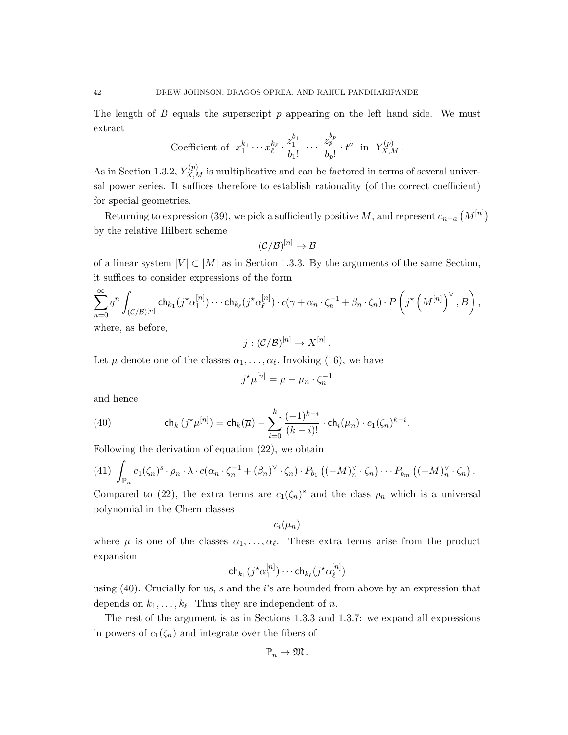The length of  $B$  equals the superscript  $p$  appearing on the left hand side. We must extract

Coefficient of 
$$
x_1^{k_1} \cdots x_\ell^{k_\ell} \cdot \frac{z_1^{b_1}}{b_1!} \cdots \frac{z_p^{b_p}}{b_p!} \cdot t^a
$$
 in  $Y_{X,M}^{(p)}$ .

As in Section 1.3.2,  $Y_{X,M}^{(p)}$  is multiplicative and can be factored in terms of several universal power series. It suffices therefore to establish rationality (of the correct coefficient) for special geometries.

Returning to expression (39), we pick a sufficiently positive M, and represent  $c_{n-a} (M^{[n]})$ by the relative Hilbert scheme

$$
(\mathcal{C}/\mathcal{B})^{[n]}\to \mathcal{B}
$$

of a linear system  $|V| \subset |M|$  as in Section 1.3.3. By the arguments of the same Section, it suffices to consider expressions of the form

$$
\sum_{n=0}^{\infty} q^n \int_{(\mathcal{C}/\mathcal{B})^{[n]}} \mathsf{ch}_{k_1}(j^{\star}\alpha_1^{[n]}) \cdots \mathsf{ch}_{k_{\ell}}(j^{\star}\alpha_{\ell}^{[n]}) \cdot c(\gamma + \alpha_n \cdot \zeta_n^{-1} + \beta_n \cdot \zeta_n) \cdot P\left(j^{\star}\left(M^{[n]}\right)^{\vee}, B\right),
$$
 where, as before,

where, as before,

$$
j:(\mathcal{C}/\mathcal{B})^{[n]}\to X^{[n]}
$$

.

Let  $\mu$  denote one of the classes  $\alpha_1, \ldots, \alpha_{\ell}$ . Invoking (16), we have

$$
j^{\star}\mu^{[n]} = \overline{\mu} - \mu_n \cdot \zeta_n^{-1}
$$

and hence

(40) 
$$
\mathsf{ch}_k(j^{\star}\mu^{[n]}) = \mathsf{ch}_k(\overline{\mu}) - \sum_{i=0}^k \frac{(-1)^{k-i}}{(k-i)!} \cdot \mathsf{ch}_i(\mu_n) \cdot c_1(\zeta_n)^{k-i}.
$$

Following the derivation of equation (22), we obtain

(41) 
$$
\int_{\mathbb{P}_n} c_1(\zeta_n)^s \cdot \rho_n \cdot \lambda \cdot c(\alpha_n \cdot \zeta_n^{-1} + (\beta_n)^{\vee} \cdot \zeta_n) \cdot P_{b_1} ((-M)_n^{\vee} \cdot \zeta_n) \cdots P_{b_m} ((-M)_n^{\vee} \cdot \zeta_n).
$$

Compared to (22), the extra terms are  $c_1(\zeta_n)^s$  and the class  $\rho_n$  which is a universal polynomial in the Chern classes

$$
c_i(\mu_n)
$$

where  $\mu$  is one of the classes  $\alpha_1, \ldots, \alpha_\ell$ . These extra terms arise from the product expansion

$$
\mathsf{ch}_{k_1}(j^{\star}\alpha_1^{[n]})\cdots \mathsf{ch}_{k_{\ell}}(j^{\star}\alpha_{\ell}^{[n]})
$$

using  $(40)$ . Crucially for us, s and the i's are bounded from above by an expression that depends on  $k_1, \ldots, k_\ell$ . Thus they are independent of n.

The rest of the argument is as in Sections 1.3.3 and 1.3.7: we expand all expressions in powers of  $c_1(\zeta_n)$  and integrate over the fibers of

$$
\mathbb{P}_n\to\mathfrak{M}\,.
$$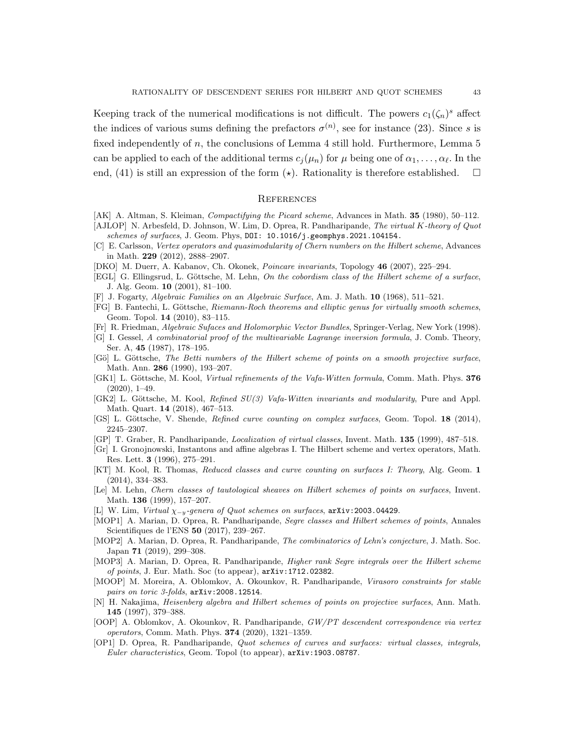Keeping track of the numerical modifications is not difficult. The powers  $c_1(\zeta_n)^s$  affect the indices of various sums defining the prefactors  $\sigma^{(n)}$ , see for instance (23). Since s is fixed independently of n, the conclusions of Lemma 4 still hold. Furthermore, Lemma 5 can be applied to each of the additional terms  $c_j(\mu_n)$  for  $\mu$  being one of  $\alpha_1, \ldots, \alpha_\ell$ . In the end, (41) is still an expression of the form  $(\star)$ . Rationality is therefore established.  $\square$ 

#### **REFERENCES**

- [AK] A. Altman, S. Kleiman, Compactifying the Picard scheme, Advances in Math. 35 (1980), 50–112.
- [AJLOP] N. Arbesfeld, D. Johnson, W. Lim, D. Oprea, R. Pandharipande, The virtual K-theory of Quot schemes of surfaces, J. Geom. Phys,  $D0I: 10.1016/j$ .geomphys.2021.104154.
- [C] E. Carlsson, Vertex operators and quasimodularity of Chern numbers on the Hilbert scheme, Advances in Math. 229 (2012), 2888–2907.
- [DKO] M. Duerr, A. Kabanov, Ch. Okonek, Poincare invariants, Topology 46 (2007), 225–294.
- [EGL] G. Ellingsrud, L. Göttsche, M. Lehn, On the cobordism class of the Hilbert scheme of a surface, J. Alg. Geom. 10 (2001), 81–100.
- [F] J. Fogarty, Algebraic Families on an Algebraic Surface, Am. J. Math. 10 (1968), 511–521.
- [FG] B. Fantechi, L. Göttsche, Riemann-Roch theorems and elliptic genus for virtually smooth schemes, Geom. Topol. 14 (2010), 83–115.
- [Fr] R. Friedman, Algebraic Sufaces and Holomorphic Vector Bundles, Springer-Verlag, New York (1998).
- [G] I. Gessel, A combinatorial proof of the multivariable Lagrange inversion formula, J. Comb. Theory, Ser. A, 45 (1987), 178–195.
- [Gö] L. Göttsche, The Betti numbers of the Hilbert scheme of points on a smooth projective surface, Math. Ann. 286 (1990), 193–207.
- [GK1] L. Göttsche, M. Kool, Virtual refinements of the Vafa-Witten formula, Comm. Math. Phys. 376  $(2020), 1-49.$
- [GK2] L. Göttsche, M. Kool, Refined  $SU(3)$  Vafa-Witten invariants and modularity, Pure and Appl. Math. Quart. 14 (2018), 467–513.
- [GS] L. Göttsche, V. Shende, Refined curve counting on complex surfaces, Geom. Topol. 18 (2014), 2245–2307.
- [GP] T. Graber, R. Pandharipande, Localization of virtual classes, Invent. Math. 135 (1999), 487–518.
- [Gr] I. Gronojnowski, Instantons and affine algebras I. The Hilbert scheme and vertex operators, Math. Res. Lett. 3 (1996), 275–291.
- [KT] M. Kool, R. Thomas, Reduced classes and curve counting on surfaces I: Theory, Alg. Geom. 1 (2014), 334–383.
- [Le] M. Lehn, Chern classes of tautological sheaves on Hilbert schemes of points on surfaces, Invent. Math. 136 (1999), 157–207.
- [L] W. Lim, Virtual  $\chi_{-y}$ -genera of Quot schemes on surfaces, arXiv:2003.04429.
- [MOP1] A. Marian, D. Oprea, R. Pandharipande, Segre classes and Hilbert schemes of points, Annales Scientifiques de l'ENS 50 (2017), 239–267.
- [MOP2] A. Marian, D. Oprea, R. Pandharipande, The combinatorics of Lehn's conjecture, J. Math. Soc. Japan 71 (2019), 299–308.
- [MOP3] A. Marian, D. Oprea, R. Pandharipande, Higher rank Segre integrals over the Hilbert scheme of points, J. Eur. Math. Soc (to appear), arXiv:1712.02382.
- [MOOP] M. Moreira, A. Oblomkov, A. Okounkov, R. Pandharipande, Virasoro constraints for stable pairs on toric 3-folds,  $arXiv:2008.12514$ .
- [N] H. Nakajima, Heisenberg algebra and Hilbert schemes of points on projective surfaces, Ann. Math. 145 (1997), 379–388.
- [OOP] A. Oblomkov, A. Okounkov, R. Pandharipande, GW/PT descendent correspondence via vertex operators, Comm. Math. Phys. 374 (2020), 1321–1359.
- [OP1] D. Oprea, R. Pandharipande, Quot schemes of curves and surfaces: virtual classes, integrals, Euler characteristics, Geom. Topol (to appear), arXiv:1903.08787.